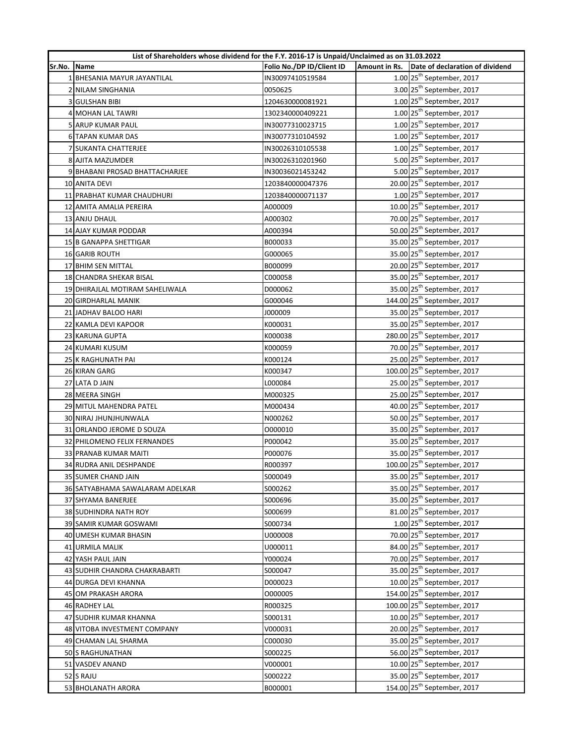|             | List of Shareholders whose dividend for the F.Y. 2016-17 is Unpaid/Unclaimed as on 31.03.2022 |                           |  |                                               |  |
|-------------|-----------------------------------------------------------------------------------------------|---------------------------|--|-----------------------------------------------|--|
| Sr.No. Name |                                                                                               | Folio No./DP ID/Client ID |  | Amount in Rs. Date of declaration of dividend |  |
|             | 1 BHESANIA MAYUR JAYANTILAL                                                                   | IN30097410519584          |  | $1.00$ 25 <sup>th</sup> September, 2017       |  |
|             | 2 NILAM SINGHANIA                                                                             | 0050625                   |  | 3.00 25 <sup>th</sup> September, 2017         |  |
|             | <b>3 GULSHAN BIBI</b>                                                                         | 1204630000081921          |  | $1.00$ 25 <sup>th</sup> September, 2017       |  |
|             | 4 MOHAN LAL TAWRI                                                                             | 1302340000409221          |  | $1.00$ 25 <sup>th</sup> September, 2017       |  |
|             | 5 ARUP KUMAR PAUL                                                                             | IN30077310023715          |  | $1.00$ 25 <sup>th</sup> September, 2017       |  |
|             | 6 TAPAN KUMAR DAS                                                                             | IN30077310104592          |  | $1.00$ 25 <sup>th</sup> September, 2017       |  |
|             | 7 SUKANTA CHATTERJEE                                                                          | IN30026310105538          |  | $1.00$ 25 <sup>th</sup> September, 2017       |  |
|             | 8 AJITA MAZUMDER                                                                              | IN30026310201960          |  | 5.00 25 <sup>th</sup> September, 2017         |  |
|             | 9 BHABANI PROSAD BHATTACHARJEE                                                                | IN30036021453242          |  | 5.00 25 <sup>th</sup> September, 2017         |  |
|             | 10 ANITA DEVI                                                                                 | 1203840000047376          |  | 20.00 25 <sup>th</sup> September, 2017        |  |
|             | 11 PRABHAT KUMAR CHAUDHURI                                                                    | 1203840000071137          |  | $1.00$ 25 <sup>th</sup> September, 2017       |  |
|             | 12 AMITA AMALIA PEREIRA                                                                       | A000009                   |  | 10.00 25 <sup>th</sup> September, 2017        |  |
|             | 13 ANJU DHAUL                                                                                 | A000302                   |  | 70.00 25 <sup>th</sup> September, 2017        |  |
|             | 14 AJAY KUMAR PODDAR                                                                          | A000394                   |  | 50.00 25 <sup>th</sup> September, 2017        |  |
|             | 15 B GANAPPA SHETTIGAR                                                                        | B000033                   |  | 35.00 25 <sup>th</sup> September, 2017        |  |
|             | 16 GARIB ROUTH                                                                                | G000065                   |  | 35.00 25 <sup>th</sup> September, 2017        |  |
|             | 17 BHIM SEN MITTAL                                                                            | B000099                   |  | 20.00 25 <sup>th</sup> September, 2017        |  |
|             | 18 CHANDRA SHEKAR BISAL                                                                       | C000058                   |  | 35.00 25 <sup>th</sup> September, 2017        |  |
|             | 19 DHIRAJLAL MOTIRAM SAHELIWALA                                                               | D000062                   |  | 35.00 25 <sup>th</sup> September, 2017        |  |
|             | 20 GIRDHARLAL MANIK                                                                           | G000046                   |  | 144.00 25 <sup>th</sup> September, 2017       |  |
|             | 21 JADHAV BALOO HARI                                                                          | J000009                   |  | 35.00 25 <sup>th</sup> September, 2017        |  |
|             | 22 KAMLA DEVI KAPOOR                                                                          | K000031                   |  | 35.00 25 <sup>th</sup> September, 2017        |  |
|             | 23 KARUNA GUPTA                                                                               | K000038                   |  | 280.00 25 <sup>th</sup> September, 2017       |  |
|             | 24 KUMARI KUSUM                                                                               | K000059                   |  | 70.00 25 <sup>th</sup> September, 2017        |  |
|             | 25 K RAGHUNATH PAI                                                                            | K000124                   |  | 25.00 25 <sup>th</sup> September, 2017        |  |
|             | 26 KIRAN GARG                                                                                 | K000347                   |  | 100.00 25 <sup>th</sup> September, 2017       |  |
|             | 27 LATA D JAIN                                                                                | L000084                   |  | 25.00 25 <sup>th</sup> September, 2017        |  |
|             | 28 MEERA SINGH                                                                                | M000325                   |  | 25.00 25 <sup>th</sup> September, 2017        |  |
|             | 29 MITUL MAHENDRA PATEL                                                                       | M000434                   |  | 40.00 25 <sup>th</sup> September, 2017        |  |
|             | 30 NIRAJ JHUNJHUNWALA                                                                         | N000262                   |  | 50.00 25 <sup>th</sup> September, 2017        |  |
|             | 31 ORLANDO JEROME D SOUZA                                                                     | 0000010                   |  | 35.00 25 <sup>th</sup> September, 2017        |  |
|             | 32 PHILOMENO FELIX FERNANDES                                                                  | P000042                   |  | 35.00 25 <sup>th</sup> September, 2017        |  |
|             | 33 PRANAB KUMAR MAITI                                                                         | P000076                   |  | 35.00 25 <sup>th</sup> September, 2017        |  |
|             | 34 RUDRA ANIL DESHPANDE                                                                       | R000397                   |  | 100.00 25 <sup>th</sup> September, 2017       |  |
|             | 35 SUMER CHAND JAIN                                                                           | S000049                   |  | 35.00 25 <sup>th</sup> September, 2017        |  |
|             | 36 SATYABHAMA SAWALARAM ADELKAR                                                               | S000262                   |  | 35.00 25 <sup>th</sup> September, 2017        |  |
|             | 37 SHYAMA BANERJEE                                                                            | S000696                   |  | 35.00 25 <sup>th</sup> September, 2017        |  |
|             | 38 SUDHINDRA NATH ROY                                                                         | S000699                   |  | 81.00 25 <sup>th</sup> September, 2017        |  |
|             | 39 SAMIR KUMAR GOSWAMI                                                                        | S000734                   |  | $1.00$ 25 <sup>th</sup> September, 2017       |  |
|             | 40 UMESH KUMAR BHASIN                                                                         | U000008                   |  | 70.00 25 <sup>th</sup> September, 2017        |  |
|             | 41 URMILA MALIK                                                                               | U000011                   |  | 84.00 25 <sup>th</sup> September, 2017        |  |
|             | 42 YASH PAUL JAIN                                                                             | Y000024                   |  | 70.00 25 <sup>th</sup> September, 2017        |  |
|             | 43 SUDHIR CHANDRA CHAKRABARTI                                                                 | S000047                   |  | 35.00 25 <sup>th</sup> September, 2017        |  |
|             | 44 DURGA DEVI KHANNA                                                                          | D000023                   |  | 10.00 25 <sup>th</sup> September, 2017        |  |
|             | 45 OM PRAKASH ARORA                                                                           | 0000005                   |  | 154.00 25 <sup>th</sup> September, 2017       |  |
|             | 46 RADHEY LAL                                                                                 | R000325                   |  | 100.00 25 <sup>th</sup> September, 2017       |  |
|             | 47 SUDHIR KUMAR KHANNA                                                                        | S000131                   |  | 10.00 25 <sup>th</sup> September, 2017        |  |
|             | 48 VITOBA INVESTMENT COMPANY                                                                  | V000031                   |  | 20.00 25 <sup>th</sup> September, 2017        |  |
|             | 49 CHAMAN LAL SHARMA                                                                          | C000030                   |  | 35.00 25 <sup>th</sup> September, 2017        |  |
|             | 50 S RAGHUNATHAN                                                                              | S000225                   |  | 56.00 25 <sup>th</sup> September, 2017        |  |
|             | 51 VASDEV ANAND                                                                               | V000001                   |  | 10.00 25 <sup>th</sup> September, 2017        |  |
|             | 52 S RAJU                                                                                     | S000222                   |  | 35.00 25 <sup>th</sup> September, 2017        |  |
|             | 53 BHOLANATH ARORA                                                                            | B000001                   |  | 154.00 25 <sup>th</sup> September, 2017       |  |
|             |                                                                                               |                           |  |                                               |  |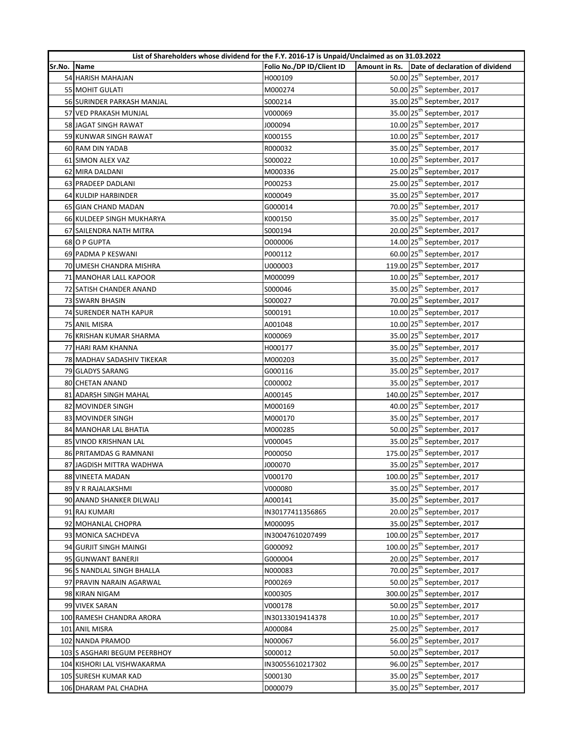|             | List of Shareholders whose dividend for the F.Y. 2016-17 is Unpaid/Unclaimed as on 31.03.2022 |                           |  |                                               |
|-------------|-----------------------------------------------------------------------------------------------|---------------------------|--|-----------------------------------------------|
| Sr.No. Name |                                                                                               | Folio No./DP ID/Client ID |  | Amount in Rs. Date of declaration of dividend |
|             | 54 HARISH MAHAJAN                                                                             | H000109                   |  | 50.00 25 <sup>th</sup> September, 2017        |
|             | 55 MOHIT GULATI                                                                               | M000274                   |  | 50.00 25 <sup>th</sup> September, 2017        |
|             | 56 SURINDER PARKASH MANJAL                                                                    | S000214                   |  | 35.00 25 <sup>th</sup> September, 2017        |
|             | 57 VED PRAKASH MUNJAL                                                                         | V000069                   |  | 35.00 25 <sup>th</sup> September, 2017        |
|             | 58 JAGAT SINGH RAWAT                                                                          | J000094                   |  | 10.00 25 <sup>th</sup> September, 2017        |
|             | 59 KUNWAR SINGH RAWAT                                                                         | K000155                   |  | 10.00 25 <sup>th</sup> September, 2017        |
|             | 60 RAM DIN YADAB                                                                              | R000032                   |  | 35.00 25 <sup>th</sup> September, 2017        |
|             | 61 SIMON ALEX VAZ                                                                             | S000022                   |  | 10.00 25 <sup>th</sup> September, 2017        |
|             | 62 MIRA DALDANI                                                                               | M000336                   |  | 25.00 25 <sup>th</sup> September, 2017        |
|             | 63 PRADEEP DADLANI                                                                            | P000253                   |  | 25.00 25 <sup>th</sup> September, 2017        |
|             | 64 KULDIP HARBINDER                                                                           | K000049                   |  | 35.00 25 <sup>th</sup> September, 2017        |
|             | 65 GIAN CHAND MADAN                                                                           | G000014                   |  | 70.00 25 <sup>th</sup> September, 2017        |
|             | 66 KULDEEP SINGH MUKHARYA                                                                     | K000150                   |  | 35.00 25 <sup>th</sup> September, 2017        |
|             | 67 SAILENDRA NATH MITRA                                                                       | S000194                   |  | 20.00 25 <sup>th</sup> September, 2017        |
|             | 68 O P GUPTA                                                                                  | 0000006                   |  | 14.00 25 <sup>th</sup> September, 2017        |
|             | 69 PADMA P KESWANI                                                                            | P000112                   |  | 60.00 25 <sup>th</sup> September, 2017        |
|             | 70 UMESH CHANDRA MISHRA                                                                       | U000003                   |  | 119.00 25 <sup>th</sup> September, 2017       |
|             | 71 MANOHAR LALL KAPOOR                                                                        | M000099                   |  | 10.00 25 <sup>th</sup> September, 2017        |
|             | 72 SATISH CHANDER ANAND                                                                       | S000046                   |  | 35.00 25 <sup>th</sup> September, 2017        |
|             | 73 SWARN BHASIN                                                                               | S000027                   |  | 70.00 25 <sup>th</sup> September, 2017        |
|             | <b>74 SURENDER NATH KAPUR</b>                                                                 | S000191                   |  | 10.00 25 <sup>th</sup> September, 2017        |
|             | 75 ANIL MISRA                                                                                 | A001048                   |  | 10.00 25 <sup>th</sup> September, 2017        |
|             | 76 KRISHAN KUMAR SHARMA                                                                       | K000069                   |  | 35.00 25 <sup>th</sup> September, 2017        |
|             | 77 HARI RAM KHANNA                                                                            | H000177                   |  | 35.00 25 <sup>th</sup> September, 2017        |
|             | 78 MADHAV SADASHIV TIKEKAR                                                                    | M000203                   |  | 35.00 25 <sup>th</sup> September, 2017        |
|             | 79 GLADYS SARANG                                                                              | G000116                   |  | 35.00 25 <sup>th</sup> September, 2017        |
|             | 80 CHETAN ANAND                                                                               | C000002                   |  | 35.00 25 <sup>th</sup> September, 2017        |
|             | 81 ADARSH SINGH MAHAL                                                                         | A000145                   |  | 140.00 25 <sup>th</sup> September, 2017       |
|             | 82 MOVINDER SINGH                                                                             | M000169                   |  | 40.00 25 <sup>th</sup> September, 2017        |
|             | 83 MOVINDER SINGH                                                                             | M000170                   |  | 35.00 25 <sup>th</sup> September, 2017        |
|             | 84 MANOHAR LAL BHATIA                                                                         | M000285                   |  | 50.00 25 <sup>th</sup> September, 2017        |
|             | 85 VINOD KRISHNAN LAL                                                                         | V000045                   |  | 35.00 25 <sup>th</sup> September, 2017        |
|             | 86 PRITAMDAS G RAMNANI                                                                        | P000050                   |  | 175.00 25 <sup>th</sup> September, 2017       |
|             | 87 JAGDISH MITTRA WADHWA                                                                      | J000070                   |  | 35.00 25 <sup>th</sup> September, 2017        |
|             | 88 VINEETA MADAN                                                                              | V000170                   |  | 100.00 25 <sup>th</sup> September, 2017       |
|             | 89 V R RAJALAKSHMI                                                                            | V000080                   |  | 35.00 25 <sup>th</sup> September, 2017        |
|             | 90 ANAND SHANKER DILWALI                                                                      | A000141                   |  | 35.00 25 <sup>th</sup> September, 2017        |
|             | 91 RAJ KUMARI                                                                                 | IN30177411356865          |  | 20.00 25 <sup>th</sup> September, 2017        |
|             | 92 MOHANLAL CHOPRA                                                                            | M000095                   |  | 35.00 25 <sup>th</sup> September, 2017        |
|             | 93 MONICA SACHDEVA                                                                            | IN30047610207499          |  | 100.00 25 <sup>th</sup> September, 2017       |
|             | 94 GURJIT SINGH MAINGI                                                                        | G000092                   |  | 100.00 25 <sup>th</sup> September, 2017       |
|             | 95 GUNWANT BANERJI                                                                            | G000004                   |  | 20.00 25 <sup>th</sup> September, 2017        |
|             | 96 S NANDLAL SINGH BHALLA                                                                     | N000083                   |  | 70.00 25 <sup>th</sup> September, 2017        |
|             | 97 PRAVIN NARAIN AGARWAL                                                                      | P000269                   |  | 50.00 25 <sup>th</sup> September, 2017        |
|             | 98 KIRAN NIGAM                                                                                | K000305                   |  | 300.00 25 <sup>th</sup> September, 2017       |
|             | 99 VIVEK SARAN                                                                                | V000178                   |  | 50.00 25 <sup>th</sup> September, 2017        |
|             | 100 RAMESH CHANDRA ARORA                                                                      | IN30133019414378          |  | 10.00 25 <sup>th</sup> September, 2017        |
|             | 101 ANIL MISRA                                                                                | A000084                   |  | 25.00 25 <sup>th</sup> September, 2017        |
|             | 102 NANDA PRAMOD                                                                              | N000067                   |  | 56.00 25 <sup>th</sup> September, 2017        |
|             | 103 S ASGHARI BEGUM PEERBHOY                                                                  | S000012                   |  | 50.00 25 <sup>th</sup> September, 2017        |
|             | 104 KISHORI LAL VISHWAKARMA                                                                   | IN30055610217302          |  | 96.00 25 <sup>th</sup> September, 2017        |
|             | 105 SURESH KUMAR KAD                                                                          | S000130                   |  | 35.00 25 <sup>th</sup> September, 2017        |
|             | 106 DHARAM PAL CHADHA                                                                         | D000079                   |  | 35.00 25 <sup>th</sup> September, 2017        |
|             |                                                                                               |                           |  |                                               |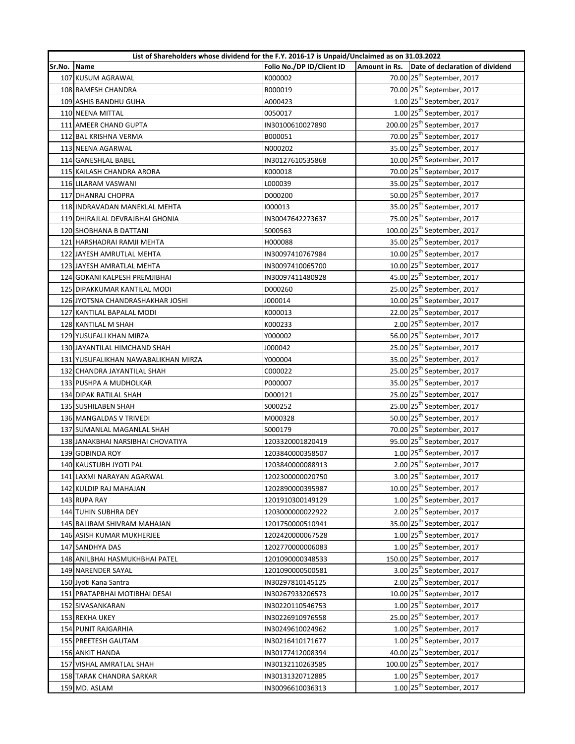|        | List of Shareholders whose dividend for the F.Y. 2016-17 is Unpaid/Unclaimed as on 31.03.2022 |                           |               |                                         |  |
|--------|-----------------------------------------------------------------------------------------------|---------------------------|---------------|-----------------------------------------|--|
| Sr.No. | Name                                                                                          | Folio No./DP ID/Client ID | Amount in Rs. | Date of declaration of dividend         |  |
|        | 107 KUSUM AGRAWAL                                                                             | K000002                   |               | 70.00 25 <sup>th</sup> September, 2017  |  |
|        | 108 RAMESH CHANDRA                                                                            | R000019                   |               | 70.00 25 <sup>th</sup> September, 2017  |  |
|        | 109 ASHIS BANDHU GUHA                                                                         | A000423                   |               | $1.00$ 25 <sup>th</sup> September, 2017 |  |
|        | 110 NEENA MITTAL                                                                              | 0050017                   |               | $1.00$ 25 <sup>th</sup> September, 2017 |  |
|        | 111 AMEER CHAND GUPTA                                                                         | IN30100610027890          |               | 200.00 25 <sup>th</sup> September, 2017 |  |
|        | 112 BAL KRISHNA VERMA                                                                         | B000051                   |               | 70.00 25 <sup>th</sup> September, 2017  |  |
|        | 113 NEENA AGARWAL                                                                             | N000202                   |               | 35.00 25 <sup>th</sup> September, 2017  |  |
|        | 114 GANESHLAL BABEL                                                                           | IN30127610535868          |               | 10.00 25 <sup>th</sup> September, 2017  |  |
|        | 115 KAILASH CHANDRA ARORA                                                                     | K000018                   |               | 70.00 25 <sup>th</sup> September, 2017  |  |
|        | 116 LILARAM VASWANI                                                                           | L000039                   |               | 35.00 25 <sup>th</sup> September, 2017  |  |
|        | 117 DHANRAJ CHOPRA                                                                            | D000200                   |               | 50.00 25 <sup>th</sup> September, 2017  |  |
|        | 118 INDRAVADAN MANEKLAL MEHTA                                                                 | 1000013                   |               | 35.00 25 <sup>th</sup> September, 2017  |  |
|        | 119 DHIRAJLAL DEVRAJBHAI GHONIA                                                               | IN30047642273637          |               | 75.00 25 <sup>th</sup> September, 2017  |  |
|        | 120 SHOBHANA B DATTANI                                                                        | S000563                   |               | 100.00 25 <sup>th</sup> September, 2017 |  |
|        | 121 HARSHADRAI RAMJI MEHTA                                                                    | H000088                   |               | 35.00 25 <sup>th</sup> September, 2017  |  |
|        | 122 JAYESH AMRUTLAL MEHTA                                                                     | IN30097410767984          |               | 10.00 25 <sup>th</sup> September, 2017  |  |
|        | 123 JAYESH AMRATLAL MEHTA                                                                     | IN30097410065700          |               | 10.00 25 <sup>th</sup> September, 2017  |  |
|        | 124 GOKANI KALPESH PREMJIBHAI                                                                 | IN30097411480928          |               | 45.00 25 <sup>th</sup> September, 2017  |  |
|        | 125 DIPAKKUMAR KANTILAL MODI                                                                  | D000260                   |               | 25.00 25 <sup>th</sup> September, 2017  |  |
|        | 126 JYOTSNA CHANDRASHAKHAR JOSHI                                                              | J000014                   |               | 10.00 25 <sup>th</sup> September, 2017  |  |
|        | 127 KANTILAL BAPALAL MODI                                                                     | K000013                   |               | 22.00 25 <sup>th</sup> September, 2017  |  |
|        | 128 KANTILAL M SHAH                                                                           | K000233                   |               | $2.00$ $25th$ September, 2017           |  |
|        | 129 YUSUFALI KHAN MIRZA                                                                       | Y000002                   |               | 56.00 25 <sup>th</sup> September, 2017  |  |
|        | 130 JAYANTILAL HIMCHAND SHAH                                                                  | J000042                   |               | 25.00 25 <sup>th</sup> September, 2017  |  |
|        | 131 YUSUFALIKHAN NAWABALIKHAN MIRZA                                                           | Y000004                   |               | 35.00 25 <sup>th</sup> September, 2017  |  |
|        | 132 CHANDRA JAYANTILAL SHAH                                                                   | C000022                   |               | 25.00 25 <sup>th</sup> September, 2017  |  |
|        | 133 PUSHPA A MUDHOLKAR                                                                        | P000007                   |               | 35.00 25 <sup>th</sup> September, 2017  |  |
|        | 134 DIPAK RATILAL SHAH                                                                        | D000121                   |               | 25.00 25 <sup>th</sup> September, 2017  |  |
|        | 135 SUSHILABEN SHAH                                                                           | S000252                   |               | 25.00 25 <sup>th</sup> September, 2017  |  |
|        | 136 MANGALDAS V TRIVEDI                                                                       | M000328                   |               | 50.00 25 <sup>th</sup> September, 2017  |  |
|        | 137 SUMANLAL MAGANLAL SHAH                                                                    | S000179                   |               | 70.00 25 <sup>th</sup> September, 2017  |  |
|        | 138 JANAKBHAI NARSIBHAI CHOVATIYA                                                             | 1203320001820419          |               | 95.00 25 <sup>th</sup> September, 2017  |  |
|        | 139 GOBINDA ROY                                                                               | 1203840000358507          |               | $1.00$ 25 <sup>th</sup> September, 2017 |  |
|        | 140 KAUSTUBH JYOTI PAL                                                                        | 1203840000088913          |               | 2.00 25 <sup>th</sup> September, 2017   |  |
|        | 141 LAXMI NARAYAN AGARWAL                                                                     | 1202300000020750          |               | 3.00 25 <sup>th</sup> September, 2017   |  |
|        | 142 KULDIP RAJ MAHAJAN                                                                        | 1202890000395987          |               | 10.00 25 <sup>th</sup> September, 2017  |  |
|        | 143 RUPA RAY                                                                                  | 1201910300149129          |               | $1.00$ 25 <sup>th</sup> September, 2017 |  |
|        | 144 TUHIN SUBHRA DEY                                                                          | 1203000000022922          |               | $2.00$ $25th$ September, 2017           |  |
|        | 145 BALIRAM SHIVRAM MAHAJAN                                                                   | 1201750000510941          |               | 35.00 25 <sup>th</sup> September, 2017  |  |
|        | 146 ASISH KUMAR MUKHERJEE                                                                     | 1202420000067528          |               | $1.00$ 25 <sup>th</sup> September, 2017 |  |
|        | 147 SANDHYA DAS                                                                               | 1202770000006083          |               | $1.00$ 25 <sup>th</sup> September, 2017 |  |
|        | 148 ANILBHAI HASMUKHBHAI PATEL                                                                | 1201090000348533          |               | 150.00 25 <sup>th</sup> September, 2017 |  |
|        | 149 NARENDER SAYAL                                                                            | 1201090000500581          |               | 3.00 25 <sup>th</sup> September, 2017   |  |
|        | 150 Jyoti Kana Santra                                                                         | IN30297810145125          |               | 2.00 25 <sup>th</sup> September, 2017   |  |
|        | 151 PRATAPBHAI MOTIBHAI DESAI                                                                 | IN30267933206573          |               | 10.00 25 <sup>th</sup> September, 2017  |  |
|        | 152 SIVASANKARAN                                                                              | IN30220110546753          |               | $1.00$ 25 <sup>th</sup> September, 2017 |  |
|        | 153 REKHA UKEY                                                                                | IN30226910976558          |               | 25.00 25 <sup>th</sup> September, 2017  |  |
|        | 154 PUNIT RAJGARHIA                                                                           | IN30249610024962          |               | $1.00$ 25 <sup>th</sup> September, 2017 |  |
|        | 155 PREETESH GAUTAM                                                                           | IN30216410171677          |               | $1.00$ 25 <sup>th</sup> September, 2017 |  |
|        | 156 ANKIT HANDA                                                                               | IN30177412008394          |               | 40.00 25 <sup>th</sup> September, 2017  |  |
|        | 157 VISHAL AMRATLAL SHAH                                                                      | IN30132110263585          |               | 100.00 25 <sup>th</sup> September, 2017 |  |
|        | 158 TARAK CHANDRA SARKAR                                                                      | IN30131320712885          |               | $1.00$ 25 <sup>th</sup> September, 2017 |  |
|        | 159 MD. ASLAM                                                                                 | IN30096610036313          |               | $1.00$ 25 <sup>th</sup> September, 2017 |  |
|        |                                                                                               |                           |               |                                         |  |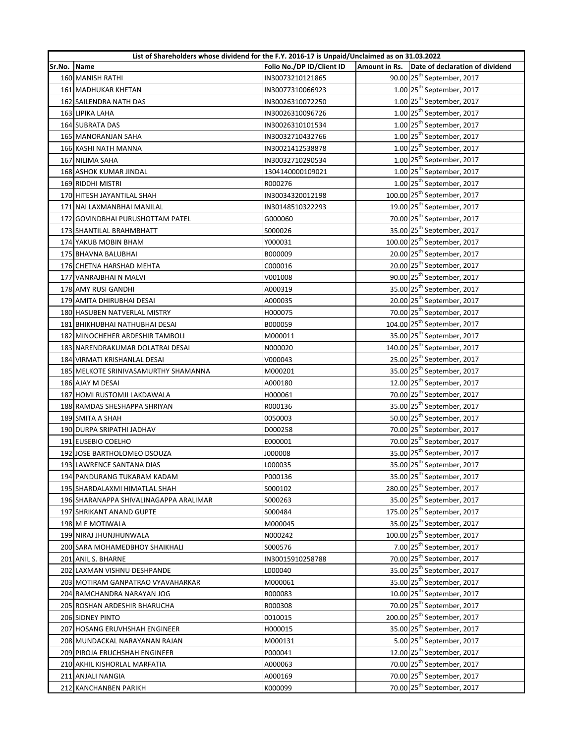|        | List of Shareholders whose dividend for the F.Y. 2016-17 is Unpaid/Unclaimed as on 31.03.2022 |                           |  |                                               |
|--------|-----------------------------------------------------------------------------------------------|---------------------------|--|-----------------------------------------------|
| Sr.No. | Name                                                                                          | Folio No./DP ID/Client ID |  | Amount in Rs. Date of declaration of dividend |
|        | 160 MANISH RATHI                                                                              | IN30073210121865          |  | 90.00 25 <sup>th</sup> September, 2017        |
|        | 161 MADHUKAR KHETAN                                                                           | IN30077310066923          |  | $1.00$ 25 <sup>th</sup> September, 2017       |
|        | 162 SAILENDRA NATH DAS                                                                        | IN30026310072250          |  | $1.00$ 25 <sup>th</sup> September, 2017       |
|        | 163 LIPIKA LAHA                                                                               | IN30026310096726          |  | $1.00$ 25 <sup>th</sup> September, 2017       |
|        | <b>164 SUBRATA DAS</b>                                                                        | IN30026310101534          |  | $1.00$ 25 <sup>th</sup> September, 2017       |
|        | 165 MANORANJAN SAHA                                                                           | IN30032710432766          |  | $1.00$ 25 <sup>th</sup> September, 2017       |
|        | 166 KASHI NATH MANNA                                                                          | IN30021412538878          |  | $1.00$ 25 <sup>th</sup> September, 2017       |
|        | 167 NILIMA SAHA                                                                               | IN30032710290534          |  | $1.00$ 25 <sup>th</sup> September, 2017       |
|        | 168 ASHOK KUMAR JINDAL                                                                        | 1304140000109021          |  | $1.00$ 25 <sup>th</sup> September, 2017       |
|        | 169 RIDDHI MISTRI                                                                             | R000276                   |  | $1.00$ 25 <sup>th</sup> September, 2017       |
|        | 170 HITESH JAYANTILAL SHAH                                                                    | IN30034320012198          |  | 100.00 25 <sup>th</sup> September, 2017       |
|        | 171 NAI LAXMANBHAI MANILAL                                                                    | IN30148510322293          |  | 19.00 25 <sup>th</sup> September, 2017        |
|        | 172 GOVINDBHAI PURUSHOTTAM PATEL                                                              | G000060                   |  | 70.00 25 <sup>th</sup> September, 2017        |
|        | 173 SHANTILAL BRAHMBHATT                                                                      | S000026                   |  | 35.00 25 <sup>th</sup> September, 2017        |
|        | 174 YAKUB MOBIN BHAM                                                                          | Y000031                   |  | 100.00 25 <sup>th</sup> September, 2017       |
|        | 175 BHAVNA BALUBHAI                                                                           | B000009                   |  | 20.00 25 <sup>th</sup> September, 2017        |
|        | 176 CHETNA HARSHAD MEHTA                                                                      | C000016                   |  | 20.00 25 <sup>th</sup> September, 2017        |
|        | 177 VANRAJBHAI N MALVI                                                                        | V001008                   |  | 90.00 25 <sup>th</sup> September, 2017        |
|        | 178 AMY RUSI GANDHI                                                                           | A000319                   |  | 35.00 25 <sup>th</sup> September, 2017        |
|        | 179 AMITA DHIRUBHAI DESAI                                                                     | A000035                   |  | 20.00 25 <sup>th</sup> September, 2017        |
|        | 180 HASUBEN NATVERLAL MISTRY                                                                  | H000075                   |  | 70.00 25 <sup>th</sup> September, 2017        |
|        | 181 BHIKHUBHAI NATHUBHAI DESAI                                                                | B000059                   |  | 104.00 25 <sup>th</sup> September, 2017       |
|        | 182 MINOCHEHER ARDESHIR TAMBOLI                                                               | M000011                   |  | 35.00 25 <sup>th</sup> September, 2017        |
|        | 183 NARENDRAKUMAR DOLATRAI DESAI                                                              | N000020                   |  | 140.00 25 <sup>th</sup> September, 2017       |
|        | 184 VIRMATI KRISHANLAL DESAI                                                                  | V000043                   |  | 25.00 25 <sup>th</sup> September, 2017        |
|        | 185 MELKOTE SRINIVASAMURTHY SHAMANNA                                                          | M000201                   |  | 35.00 25 <sup>th</sup> September, 2017        |
|        | 186 AJAY M DESAI                                                                              | A000180                   |  | 12.00 25 <sup>th</sup> September, 2017        |
|        | 187 HOMI RUSTOMJI LAKDAWALA                                                                   | H000061                   |  | 70.00 25 <sup>th</sup> September, 2017        |
|        | 188 RAMDAS SHESHAPPA SHRIYAN                                                                  | R000136                   |  | 35.00 25 <sup>th</sup> September, 2017        |
|        | 189 SMITA A SHAH                                                                              | 0050003                   |  | 50.00 25 <sup>th</sup> September, 2017        |
|        | 190 DURPA SRIPATHI JADHAV                                                                     | D000258                   |  | 70.00 25 <sup>th</sup> September, 2017        |
|        | 191 EUSEBIO COELHO                                                                            | E000001                   |  | 70.00 25 <sup>th</sup> September, 2017        |
|        | 192 JOSE BARTHOLOMEO DSOUZA                                                                   | J000008                   |  | 35.00 25 <sup>th</sup> September, 2017        |
|        | 193 LAWRENCE SANTANA DIAS                                                                     | L000035                   |  | 35.00 25 <sup>th</sup> September, 2017        |
|        | 194 PANDURANG TUKARAM KADAM                                                                   | P000136                   |  | 35.00 25 <sup>th</sup> September, 2017        |
|        | 195 SHARDALAXMI HIMATLAL SHAH                                                                 | S000102                   |  | 280.00 25 <sup>th</sup> September, 2017       |
|        | 196 SHARANAPPA SHIVALINAGAPPA ARALIMAR                                                        | S000263                   |  | 35.00 25 <sup>th</sup> September, 2017        |
|        | 197 SHRIKANT ANAND GUPTE                                                                      | S000484                   |  | 175.00 25 <sup>th</sup> September, 2017       |
|        | 198 M E MOTIWALA                                                                              | M000045                   |  | 35.00 25 <sup>th</sup> September, 2017        |
|        | 199 NIRAJ JHUNJHUNWALA                                                                        | N000242                   |  | 100.00 25 <sup>th</sup> September, 2017       |
|        | 200 SARA MOHAMEDBHOY SHAIKHALI                                                                | S000576                   |  | 7.00 25 <sup>th</sup> September, 2017         |
|        | 201 ANIL S. BHARNE                                                                            | IN30015910258788          |  | 70.00 25 <sup>th</sup> September, 2017        |
|        | 202 LAXMAN VISHNU DESHPANDE                                                                   | L000040                   |  | 35.00 25 <sup>th</sup> September, 2017        |
|        | 203 MOTIRAM GANPATRAO VYAVAHARKAR                                                             | M000061                   |  | 35.00 25 <sup>th</sup> September, 2017        |
|        | 204 RAMCHANDRA NARAYAN JOG                                                                    | R000083                   |  | 10.00 25 <sup>th</sup> September, 2017        |
|        | 205 ROSHAN ARDESHIR BHARUCHA                                                                  | R000308                   |  | 70.00 25 <sup>th</sup> September, 2017        |
|        | 206 SIDNEY PINTO                                                                              | 0010015                   |  | 200.00 25 <sup>th</sup> September, 2017       |
|        | 207 HOSANG ERUVHSHAH ENGINEER                                                                 | H000015                   |  | 35.00 25 <sup>th</sup> September, 2017        |
|        | 208 MUNDACKAL NARAYANAN RAJAN                                                                 | M000131                   |  | 5.00 25 <sup>th</sup> September, 2017         |
|        | 209 PIROJA ERUCHSHAH ENGINEER                                                                 | P000041                   |  | 12.00 25 <sup>th</sup> September, 2017        |
|        | 210 AKHIL KISHORLAL MARFATIA                                                                  | A000063                   |  | 70.00 25 <sup>th</sup> September, 2017        |
|        | 211 ANJALI NANGIA                                                                             | A000169                   |  | 70.00 25 <sup>th</sup> September, 2017        |
|        | 212 KANCHANBEN PARIKH                                                                         | K000099                   |  | 70.00 25 <sup>th</sup> September, 2017        |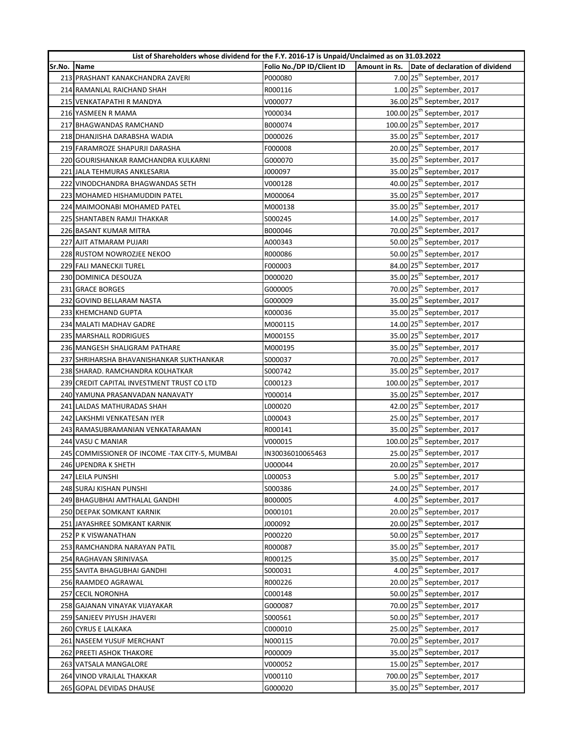|        | List of Shareholders whose dividend for the F.Y. 2016-17 is Unpaid/Unclaimed as on 31.03.2022 |                           |  |                                               |  |
|--------|-----------------------------------------------------------------------------------------------|---------------------------|--|-----------------------------------------------|--|
| Sr.No. | Name                                                                                          | Folio No./DP ID/Client ID |  | Amount in Rs. Date of declaration of dividend |  |
|        | 213 PRASHANT KANAKCHANDRA ZAVERI                                                              | P000080                   |  | 7.00 25 <sup>th</sup> September, 2017         |  |
|        | 214 RAMANLAL RAICHAND SHAH                                                                    | R000116                   |  | $1.00$ 25 <sup>th</sup> September, 2017       |  |
|        | 215 VENKATAPATHI R MANDYA                                                                     | V000077                   |  | 36.00 25 <sup>th</sup> September, 2017        |  |
|        | 216 YASMEEN R MAMA                                                                            | Y000034                   |  | 100.00 25 <sup>th</sup> September, 2017       |  |
|        | 217 BHAGWANDAS RAMCHAND                                                                       | B000074                   |  | 100.00 25 <sup>th</sup> September, 2017       |  |
|        | 218 DHANJISHA DARABSHA WADIA                                                                  | D000026                   |  | 35.00 25 <sup>th</sup> September, 2017        |  |
|        | 219 FARAMROZE SHAPURJI DARASHA                                                                | F000008                   |  | 20.00 25 <sup>th</sup> September, 2017        |  |
|        | 220 GOURISHANKAR RAMCHANDRA KULKARNI                                                          | G000070                   |  | 35.00 25 <sup>th</sup> September, 2017        |  |
|        | 221 JALA TEHMURAS ANKLESARIA                                                                  | J000097                   |  | 35.00 25 <sup>th</sup> September, 2017        |  |
|        | 222 VINODCHANDRA BHAGWANDAS SETH                                                              | V000128                   |  | 40.00 25 <sup>th</sup> September, 2017        |  |
|        | 223 MOHAMED HISHAMUDDIN PATEL                                                                 | M000064                   |  | 35.00 25 <sup>th</sup> September, 2017        |  |
|        | 224 MAIMOONABI MOHAMED PATEL                                                                  | M000138                   |  | 35.00 25 <sup>th</sup> September, 2017        |  |
|        | 225 SHANTABEN RAMJI THAKKAR                                                                   | S000245                   |  | 14.00 25 <sup>th</sup> September, 2017        |  |
|        | 226 BASANT KUMAR MITRA                                                                        | B000046                   |  | 70.00 25 <sup>th</sup> September, 2017        |  |
|        | 227 AJIT ATMARAM PUJARI                                                                       | A000343                   |  | 50.00 25 <sup>th</sup> September, 2017        |  |
|        | 228 RUSTOM NOWROZJEE NEKOO                                                                    | R000086                   |  | 50.00 25 <sup>th</sup> September, 2017        |  |
|        | 229 FALI MANECKJI TUREL                                                                       | F000003                   |  | 84.00 25 <sup>th</sup> September, 2017        |  |
|        | 230 DOMINICA DESOUZA                                                                          | D000020                   |  | 35.00 25 <sup>th</sup> September, 2017        |  |
|        | 231 GRACE BORGES                                                                              | G000005                   |  | 70.00 25 <sup>th</sup> September, 2017        |  |
|        | 232 GOVIND BELLARAM NASTA                                                                     | G000009                   |  | 35.00 25 <sup>th</sup> September, 2017        |  |
|        | 233 KHEMCHAND GUPTA                                                                           | K000036                   |  | 35.00 25 <sup>th</sup> September, 2017        |  |
|        | 234 MALATI MADHAV GADRE                                                                       | M000115                   |  | 14.00 25 <sup>th</sup> September, 2017        |  |
|        | <b>235 MARSHALL RODRIGUES</b>                                                                 | M000155                   |  | 35.00 25 <sup>th</sup> September, 2017        |  |
|        | 236 MANGESH SHALIGRAM PATHARE                                                                 | M000195                   |  | 35.00 25 <sup>th</sup> September, 2017        |  |
|        | 237 SHRIHARSHA BHAVANISHANKAR SUKTHANKAR                                                      | S000037                   |  | 70.00 25 <sup>th</sup> September, 2017        |  |
|        | 238 SHARAD. RAMCHANDRA KOLHATKAR                                                              | S000742                   |  | 35.00 25 <sup>th</sup> September, 2017        |  |
|        | 239 CREDIT CAPITAL INVESTMENT TRUST CO LTD                                                    | C000123                   |  | 100.00 25 <sup>th</sup> September, 2017       |  |
|        | 240 YAMUNA PRASANVADAN NANAVATY                                                               | Y000014                   |  | 35.00 25 <sup>th</sup> September, 2017        |  |
|        | 241 LALDAS MATHURADAS SHAH                                                                    | L000020                   |  | 42.00 25 <sup>th</sup> September, 2017        |  |
|        | 242 LAKSHMI VENKATESAN IYER                                                                   | L000043                   |  | 25.00 25 <sup>th</sup> September, 2017        |  |
|        | 243 RAMASUBRAMANIAN VENKATARAMAN                                                              | R000141                   |  | 35.00 25 <sup>th</sup> September, 2017        |  |
|        | 244 VASU C MANIAR                                                                             | V000015                   |  | 100.00 25 <sup>th</sup> September, 2017       |  |
|        | 245 COMMISSIONER OF INCOME - TAX CITY-5, MUMBAI                                               | IN30036010065463          |  | 25.00 25 <sup>th</sup> September, 2017        |  |
|        | 246 UPENDRA K SHETH                                                                           | U000044                   |  | 20.00 25 <sup>th</sup> September, 2017        |  |
|        | 247 LEILA PUNSHI                                                                              | L000053                   |  | 5.00 25 <sup>th</sup> September, 2017         |  |
|        | 248 SURAJ KISHAN PUNSHI                                                                       | S000386                   |  | 24.00 25 <sup>th</sup> September, 2017        |  |
|        | 249 BHAGUBHAI AMTHALAL GANDHI                                                                 | B000005                   |  | 4.00 25 <sup>th</sup> September, 2017         |  |
|        | 250 DEEPAK SOMKANT KARNIK                                                                     | D000101                   |  | 20.00 25 <sup>th</sup> September, 2017        |  |
|        | 251 JAYASHREE SOMKANT KARNIK                                                                  | J000092                   |  | 20.00 25 <sup>th</sup> September, 2017        |  |
|        | 252 P K VISWANATHAN                                                                           | P000220                   |  | 50.00 25 <sup>th</sup> September, 2017        |  |
|        | 253 RAMCHANDRA NARAYAN PATIL                                                                  |                           |  | 35.00 25 <sup>th</sup> September, 2017        |  |
|        | 254 RAGHAVAN SRINIVASA                                                                        | R000087                   |  | 35.00 25 <sup>th</sup> September, 2017        |  |
|        |                                                                                               | R000125                   |  | 4.00 25 <sup>th</sup> September, 2017         |  |
|        | 255 SAVITA BHAGUBHAI GANDHI<br>256 RAAMDEO AGRAWAL                                            | S000031                   |  | 20.00 25 <sup>th</sup> September, 2017        |  |
|        |                                                                                               | R000226                   |  | 50.00 25 <sup>th</sup> September, 2017        |  |
|        | 257 CECIL NORONHA                                                                             | C000148                   |  | 70.00 25 <sup>th</sup> September, 2017        |  |
|        | 258 GAJANAN VINAYAK VIJAYAKAR                                                                 | G000087                   |  | 50.00 25 <sup>th</sup> September, 2017        |  |
|        | 259 SANJEEV PIYUSH JHAVERI                                                                    | S000561                   |  |                                               |  |
|        | 260 CYRUS E LALKAKA                                                                           | C000010                   |  | 25.00 25 <sup>th</sup> September, 2017        |  |
|        | 261 NASEEM YUSUF MERCHANT                                                                     | N000115                   |  | 70.00 25 <sup>th</sup> September, 2017        |  |
|        | 262 PREETI ASHOK THAKORE                                                                      | P000009                   |  | 35.00 25 <sup>th</sup> September, 2017        |  |
|        | 263 VATSALA MANGALORE                                                                         | V000052                   |  | 15.00 25 <sup>th</sup> September, 2017        |  |
|        | 264 VINOD VRAJLAL THAKKAR                                                                     | V000110                   |  | 700.00 25 <sup>th</sup> September, 2017       |  |
|        | 265 GOPAL DEVIDAS DHAUSE                                                                      | G000020                   |  | 35.00 25 <sup>th</sup> September, 2017        |  |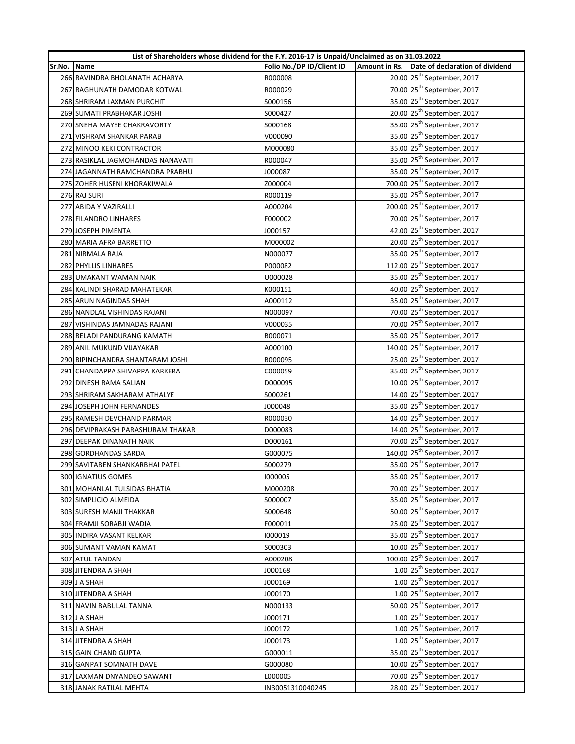|        | List of Shareholders whose dividend for the F.Y. 2016-17 is Unpaid/Unclaimed as on 31.03.2022 |                           |                                                 |
|--------|-----------------------------------------------------------------------------------------------|---------------------------|-------------------------------------------------|
| Sr.No. | Name                                                                                          | Folio No./DP ID/Client ID | Amount in Rs.   Date of declaration of dividend |
|        | 266 RAVINDRA BHOLANATH ACHARYA                                                                | R000008                   | 20.00 25 <sup>th</sup> September, 2017          |
|        | 267 RAGHUNATH DAMODAR KOTWAL                                                                  | R000029                   | 70.00 25 <sup>th</sup> September, 2017          |
|        | 268 SHRIRAM LAXMAN PURCHIT                                                                    | S000156                   | 35.00 25 <sup>th</sup> September, 2017          |
|        | 269 SUMATI PRABHAKAR JOSHI                                                                    | S000427                   | 20.00 25 <sup>th</sup> September, 2017          |
|        | 270 SNEHA MAYEE CHAKRAVORTY                                                                   | S000168                   | 35.00 25 <sup>th</sup> September, 2017          |
|        | 271 VISHRAM SHANKAR PARAB                                                                     | V000090                   | 35.00 25 <sup>th</sup> September, 2017          |
|        | 272 MINOO KEKI CONTRACTOR                                                                     | M000080                   | 35.00 25 <sup>th</sup> September, 2017          |
|        | 273 RASIKLAL JAGMOHANDAS NANAVATI                                                             | R000047                   | 35.00 25 <sup>th</sup> September, 2017          |
|        | 274 JAGANNATH RAMCHANDRA PRABHU                                                               | J000087                   | 35.00 25 <sup>th</sup> September, 2017          |
|        | 275 ZOHER HUSENI KHORAKIWALA                                                                  | Z000004                   | 700.00 25 <sup>th</sup> September, 2017         |
|        | 276 RAJ SURI                                                                                  | R000119                   | 35.00 25 <sup>th</sup> September, 2017          |
|        | 277 ABIDA Y VAZIRALLI                                                                         | A000204                   | 200.00 25 <sup>th</sup> September, 2017         |
|        | 278 FILANDRO LINHARES                                                                         | F000002                   | 70.00 25 <sup>th</sup> September, 2017          |
|        | 279 JOSEPH PIMENTA                                                                            | J000157                   | 42.00 25 <sup>th</sup> September, 2017          |
|        | 280 MARIA AFRA BARRETTO                                                                       | M000002                   | 20.00 25 <sup>th</sup> September, 2017          |
|        | 281 NIRMALA RAJA                                                                              | N000077                   | 35.00 25 <sup>th</sup> September, 2017          |
|        | 282 PHYLLIS LINHARES                                                                          | P000082                   | 112.00 25 <sup>th</sup> September, 2017         |
|        | 283 UMAKANT WAMAN NAIK                                                                        | U000028                   | 35.00 25 <sup>th</sup> September, 2017          |
|        | 284 KALINDI SHARAD MAHATEKAR                                                                  | K000151                   | 40.00 25 <sup>th</sup> September, 2017          |
|        | 285 ARUN NAGINDAS SHAH                                                                        | A000112                   | 35.00 25 <sup>th</sup> September, 2017          |
|        | 286 NANDLAL VISHINDAS RAJANI                                                                  | N000097                   | 70.00 25 <sup>th</sup> September, 2017          |
|        | 287 VISHINDAS JAMNADAS RAJANI                                                                 | V000035                   | 70.00 25 <sup>th</sup> September, 2017          |
|        | 288 BELADI PANDURANG KAMATH                                                                   | B000071                   | 35.00 25 <sup>th</sup> September, 2017          |
|        | 289 ANIL MUKUND VIJAYAKAR                                                                     | A000100                   | 140.00 25 <sup>th</sup> September, 2017         |
|        | 290 BIPINCHANDRA SHANTARAM JOSHI                                                              | B000095                   | 25.00 25 <sup>th</sup> September, 2017          |
|        | 291 CHANDAPPA SHIVAPPA KARKERA                                                                | C000059                   | 35.00 25 <sup>th</sup> September, 2017          |
|        | 292 DINESH RAMA SALIAN                                                                        | D000095                   | 10.00 25 <sup>th</sup> September, 2017          |
|        | 293 SHRIRAM SAKHARAM ATHALYE                                                                  | S000261                   | 14.00 25 <sup>th</sup> September, 2017          |
|        | 294 JOSEPH JOHN FERNANDES                                                                     | J000048                   | 35.00 25 <sup>th</sup> September, 2017          |
|        | 295 RAMESH DEVCHAND PARMAR                                                                    | R000030                   | 14.00 25 <sup>th</sup> September, 2017          |
|        | 296 DEVIPRAKASH PARASHURAM THAKAR                                                             | D000083                   | 14.00 25 <sup>th</sup> September, 2017          |
|        | 297 DEEPAK DINANATH NAIK                                                                      | D000161                   | 70.00 25 <sup>th</sup> September, 2017          |
|        | 298 GORDHANDAS SARDA                                                                          | G000075                   | 140.00 25 <sup>th</sup> September, 2017         |
|        | 299 SAVITABEN SHANKARBHAI PATEL                                                               | S000279                   | 35.00 25 <sup>th</sup> September, 2017          |
|        | 300 IGNATIUS GOMES                                                                            | 1000005                   | 35.00 25 <sup>th</sup> September, 2017          |
|        | 301 MOHANLAL TULSIDAS BHATIA                                                                  | M000208                   | 70.00 25 <sup>th</sup> September, 2017          |
|        | 302 SIMPLICIO ALMEIDA                                                                         | S000007                   | 35.00 25 <sup>th</sup> September, 2017          |
|        | 303 SURESH MANJI THAKKAR                                                                      | S000648                   | 50.00 25 <sup>th</sup> September, 2017          |
|        | 304 FRAMJI SORABJI WADIA                                                                      | F000011                   | 25.00 25 <sup>th</sup> September, 2017          |
|        | 305 INDIRA VASANT KELKAR                                                                      | 1000019                   | 35.00 25 <sup>th</sup> September, 2017          |
|        | 306 SUMANT VAMAN KAMAT                                                                        | \$000303                  | 10.00 25 <sup>th</sup> September, 2017          |
|        | 307 ATUL TANDAN                                                                               | A000208                   | 100.00 25 <sup>th</sup> September, 2017         |
|        | 308 JITENDRA A SHAH                                                                           | J000168                   | $1.00$ 25 <sup>th</sup> September, 2017         |
|        | 309 J A SHAH                                                                                  | 1000169                   | $1.00$ 25 <sup>th</sup> September, 2017         |
|        | 310 JITENDRA A SHAH                                                                           | J000170                   | $1.00$ 25 <sup>th</sup> September, 2017         |
|        | 311 NAVIN BABULAL TANNA                                                                       | N000133                   | 50.00 25 <sup>th</sup> September, 2017          |
|        | 312 J A SHAH                                                                                  | J000171                   | $1.00$ 25 <sup>th</sup> September, 2017         |
|        | 313 J A SHAH                                                                                  | J000172                   | $1.00$ 25 <sup>th</sup> September, 2017         |
|        | 314 JITENDRA A SHAH                                                                           | J000173                   | $1.00$ 25 <sup>th</sup> September, 2017         |
|        | 315 GAIN CHAND GUPTA                                                                          | G000011                   | 35.00 25 <sup>th</sup> September, 2017          |
|        | 316 GANPAT SOMNATH DAVE                                                                       | G000080                   | 10.00 25 <sup>th</sup> September, 2017          |
|        | 317 LAXMAN DNYANDEO SAWANT                                                                    | L000005                   | 70.00 25 <sup>th</sup> September, 2017          |
|        | 318 JANAK RATILAL MEHTA                                                                       | IN30051310040245          | 28.00 25 <sup>th</sup> September, 2017          |
|        |                                                                                               |                           |                                                 |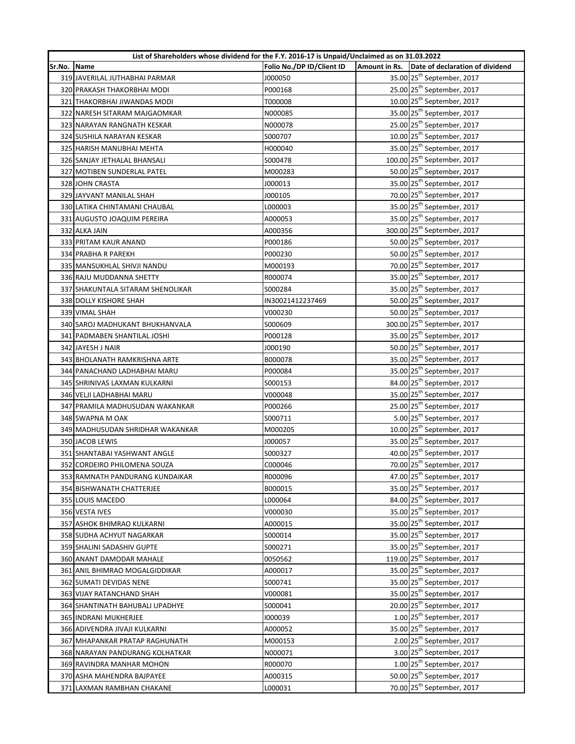|        | List of Shareholders whose dividend for the F.Y. 2016-17 is Unpaid/Unclaimed as on 31.03.2022 |                           |                                               |
|--------|-----------------------------------------------------------------------------------------------|---------------------------|-----------------------------------------------|
| Sr.No. | Name                                                                                          | Folio No./DP ID/Client ID | Amount in Rs. Date of declaration of dividend |
|        | 319 JAVERILAL JUTHABHAI PARMAR                                                                | J000050                   | 35.00 25 <sup>th</sup> September, 2017        |
|        | 320 PRAKASH THAKORBHAI MODI                                                                   | P000168                   | 25.00 25 <sup>th</sup> September, 2017        |
|        | 321 THAKORBHAI JIWANDAS MODI                                                                  | T000008                   | 10.00 25 <sup>th</sup> September, 2017        |
|        | 322 NARESH SITARAM MAJGAOMKAR                                                                 | N000085                   | 35.00 25 <sup>th</sup> September, 2017        |
|        | 323 NARAYAN RANGNATH KESKAR                                                                   | N000078                   | 25.00 25 <sup>th</sup> September, 2017        |
|        | 324 SUSHILA NARAYAN KESKAR                                                                    | S000707                   | $10.00$ 25 <sup>th</sup> September, 2017      |
|        | 325 HARISH MANUBHAI MEHTA                                                                     | H000040                   | 35.00 25 <sup>th</sup> September, 2017        |
|        | 326 SANJAY JETHALAL BHANSALI                                                                  | S000478                   | 100.00 25 <sup>th</sup> September, 2017       |
|        | 327 MOTIBEN SUNDERLAL PATEL                                                                   | M000283                   | 50.00 25 <sup>th</sup> September, 2017        |
|        | 328 JOHN CRASTA                                                                               | J000013                   | 35.00 25 <sup>th</sup> September, 2017        |
|        | 329 JAYVANT MANILAL SHAH                                                                      | J000105                   | 70.00 25 <sup>th</sup> September, 2017        |
|        | 330 LATIKA CHINTAMANI CHAUBAL                                                                 | L000003                   | 35.00 25 <sup>th</sup> September, 2017        |
|        | 331 AUGUSTO JOAQUIM PEREIRA                                                                   | A000053                   | 35.00 25 <sup>th</sup> September, 2017        |
|        | 332 ALKA JAIN                                                                                 | A000356                   | 300.00 25 <sup>th</sup> September, 2017       |
|        | 333 PRITAM KAUR ANAND                                                                         | P000186                   | 50.00 25 <sup>th</sup> September, 2017        |
|        | 334 PRABHA R PAREKH                                                                           | P000230                   | 50.00 25 <sup>th</sup> September, 2017        |
|        | 335 MANSUKHLAL SHIVJI NANDU                                                                   | M000193                   | 70.00 25 <sup>th</sup> September, 2017        |
|        | 336 RAJU MUDDANNA SHETTY                                                                      | R000074                   | 35.00 25 <sup>th</sup> September, 2017        |
|        | 337 SHAKUNTALA SITARAM SHENOLIKAR                                                             | S000284                   | 35.00 25 <sup>th</sup> September, 2017        |
|        | 338 DOLLY KISHORE SHAH                                                                        | IN30021412237469          | 50.00 25 <sup>th</sup> September, 2017        |
|        | 339 VIMAL SHAH                                                                                | V000230                   | 50.00 25 <sup>th</sup> September, 2017        |
|        | 340 SAROJ MADHUKANT BHUKHANVALA                                                               | \$000609                  | 300.00 25 <sup>th</sup> September, 2017       |
|        | 341 PADMABEN SHANTILAL JOSHI                                                                  | P000128                   | 35.00 25 <sup>th</sup> September, 2017        |
|        | 342 JAYESH J NAIR                                                                             | J000190                   | 50.00 25 <sup>th</sup> September, 2017        |
|        | 343 BHOLANATH RAMKRISHNA ARTE                                                                 | B000078                   | 35.00 25 <sup>th</sup> September, 2017        |
|        | 344 PANACHAND LADHABHAI MARU                                                                  | P000084                   | 35.00 25 <sup>th</sup> September, 2017        |
|        | 345 SHRINIVAS LAXMAN KULKARNI                                                                 | S000153                   | 84.00 25 <sup>th</sup> September, 2017        |
|        | 346 VELJI LADHABHAI MARU                                                                      | V000048                   | 35.00 25 <sup>th</sup> September, 2017        |
|        | 347 PRAMILA MADHUSUDAN WAKANKAR                                                               | P000266                   | 25.00 25 <sup>th</sup> September, 2017        |
|        | 348 SWAPNA M OAK                                                                              | S000711                   | 5.00 25 <sup>th</sup> September, 2017         |
|        | 349 MADHUSUDAN SHRIDHAR WAKANKAR                                                              | M000205                   | 10.00 25 <sup>th</sup> September, 2017        |
|        | 350 JACOB LEWIS                                                                               | J000057                   | 35.00 25 <sup>th</sup> September, 2017        |
|        | 351 SHANTABAI YASHWANT ANGLE                                                                  | S000327                   | 40.00 25 <sup>th</sup> September, 2017        |
|        | 352 CORDEIRO PHILOMENA SOUZA                                                                  | C000046                   | 70.00 25 <sup>th</sup> September, 2017        |
|        | 353 RAMNATH PANDURANG KUNDAIKAR                                                               | R000096                   | 47.00 25 <sup>th</sup> September, 2017        |
|        | 354 BISHWANATH CHATTERJEE                                                                     | B000015                   | 35.00 25 <sup>th</sup> September, 2017        |
|        | 355 LOUIS MACEDO                                                                              | L000064                   | 84.00 25 <sup>th</sup> September, 2017        |
|        | 356 VESTA IVES                                                                                | V000030                   | 35.00 25 <sup>th</sup> September, 2017        |
|        | 357 ASHOK BHIMRAO KULKARNI                                                                    | A000015                   | 35.00 25 <sup>th</sup> September, 2017        |
|        | 358 SUDHA ACHYUT NAGARKAR                                                                     | S000014                   | 35.00 25 <sup>th</sup> September, 2017        |
|        | 359 SHALINI SADASHIV GUPTE                                                                    | S000271                   | 35.00 25 <sup>th</sup> September, 2017        |
|        |                                                                                               |                           | 119.00 25 <sup>th</sup> September, 2017       |
|        | 360 ANANT DAMODAR MAHALE                                                                      | 0050562                   | 35.00 25 <sup>th</sup> September, 2017        |
|        | 361 ANIL BHIMRAO MOGALGIDDIKAR                                                                | A000017                   | 35.00 25 <sup>th</sup> September, 2017        |
|        | 362 SUMATI DEVIDAS NENE                                                                       | S000741                   | 35.00 25 <sup>th</sup> September, 2017        |
|        | 363 VIJAY RATANCHAND SHAH                                                                     | V000081                   | 20.00 25 <sup>th</sup> September, 2017        |
|        | 364 SHANTINATH BAHUBALI UPADHYE                                                               | S000041                   | $1.00$ 25 <sup>th</sup> September, 2017       |
|        | 365 INDRANI MUKHERJEE                                                                         | 1000039                   | 35.00 25 <sup>th</sup> September, 2017        |
|        | 366 ADIVENDRA JIVAJI KULKARNI                                                                 | A000052                   | 2.00 25 <sup>th</sup> September, 2017         |
|        | 367 MHAPANKAR PRATAP RAGHUNATH                                                                | M000153                   | 3.00 25 <sup>th</sup> September, 2017         |
|        | 368 NARAYAN PANDURANG KOLHATKAR                                                               | N000071                   | $1.00$ 25 <sup>th</sup> September, 2017       |
|        | 369 RAVINDRA MANHAR MOHON                                                                     | R000070                   | 50.00 25 <sup>th</sup> September, 2017        |
|        | 370 ASHA MAHENDRA BAJPAYEE                                                                    | A000315                   |                                               |
|        | 371 LAXMAN RAMBHAN CHAKANE                                                                    | L000031                   | 70.00 25 <sup>th</sup> September, 2017        |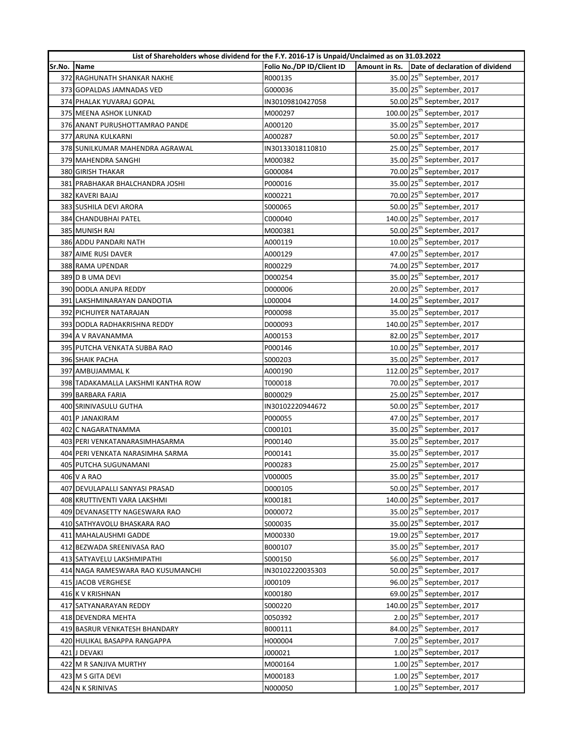| List of Shareholders whose dividend for the F.Y. 2016-17 is Unpaid/Unclaimed as on 31.03.2022 |                                    |                           |  |                                               |
|-----------------------------------------------------------------------------------------------|------------------------------------|---------------------------|--|-----------------------------------------------|
| Sr.No.                                                                                        | <b>Name</b>                        | Folio No./DP ID/Client ID |  | Amount in Rs. Date of declaration of dividend |
|                                                                                               | 372 RAGHUNATH SHANKAR NAKHE        | R000135                   |  | 35.00 25 <sup>th</sup> September, 2017        |
|                                                                                               | 373 GOPALDAS JAMNADAS VED          | G000036                   |  | 35.00 25 <sup>th</sup> September, 2017        |
|                                                                                               | 374 PHALAK YUVARAJ GOPAL           | IN30109810427058          |  | 50.00 25 <sup>th</sup> September, 2017        |
|                                                                                               | 375 MEENA ASHOK LUNKAD             | M000297                   |  | 100.00 25 <sup>th</sup> September, 2017       |
|                                                                                               | 376 ANANT PURUSHOTTAMRAO PANDE     | A000120                   |  | 35.00 25 <sup>th</sup> September, 2017        |
|                                                                                               | 377 ARUNA KULKARNI                 | A000287                   |  | 50.00 25 <sup>th</sup> September, 2017        |
|                                                                                               | 378 SUNILKUMAR MAHENDRA AGRAWAL    | IN30133018110810          |  | 25.00 25 <sup>th</sup> September, 2017        |
|                                                                                               | 379 MAHENDRA SANGHI                | M000382                   |  | 35.00 25 <sup>th</sup> September, 2017        |
|                                                                                               | 380 GIRISH THAKAR                  | G000084                   |  | 70.00 25 <sup>th</sup> September, 2017        |
|                                                                                               | 381 PRABHAKAR BHALCHANDRA JOSHI    | P000016                   |  | 35.00 25 <sup>th</sup> September, 2017        |
|                                                                                               | 382 KAVERI BAJAJ                   | K000221                   |  | 70.00 25 <sup>th</sup> September, 2017        |
|                                                                                               | 383 SUSHILA DEVI ARORA             | S000065                   |  | 50.00 25 <sup>th</sup> September, 2017        |
|                                                                                               | 384 CHANDUBHAI PATEL               | C000040                   |  | 140.00 25 <sup>th</sup> September, 2017       |
|                                                                                               | 385 MUNISH RAI                     | M000381                   |  | 50.00 25 <sup>th</sup> September, 2017        |
|                                                                                               | 386 ADDU PANDARI NATH              | A000119                   |  | 10.00 25 <sup>th</sup> September, 2017        |
|                                                                                               | 387 AIME RUSI DAVER                | A000129                   |  | 47.00 25 <sup>th</sup> September, 2017        |
|                                                                                               | 388 RAMA UPENDAR                   | R000229                   |  | 74.00 25 <sup>th</sup> September, 2017        |
|                                                                                               | 389 D B UMA DEVI                   | D000254                   |  | 35.00 25 <sup>th</sup> September, 2017        |
|                                                                                               | 390 DODLA ANUPA REDDY              | D000006                   |  | 20.00 25 <sup>th</sup> September, 2017        |
|                                                                                               | 391 LAKSHMINARAYAN DANDOTIA        | L000004                   |  | 14.00 25 <sup>th</sup> September, 2017        |
|                                                                                               | 392 PICHUIYER NATARAJAN            | P000098                   |  | 35.00 25 <sup>th</sup> September, 2017        |
|                                                                                               | 393 DODLA RADHAKRISHNA REDDY       | D000093                   |  | 140.00 25 <sup>th</sup> September, 2017       |
|                                                                                               | 394 A V RAVANAMMA                  | A000153                   |  | 82.00 25 <sup>th</sup> September, 2017        |
|                                                                                               | 395 PUTCHA VENKATA SUBBA RAO       | P000146                   |  | 10.00 25 <sup>th</sup> September, 2017        |
|                                                                                               | 396 SHAIK PACHA                    | S000203                   |  | 35.00 25 <sup>th</sup> September, 2017        |
|                                                                                               | 397 AMBUJAMMAL K                   | A000190                   |  | 112.00 25 <sup>th</sup> September, 2017       |
|                                                                                               | 398 TADAKAMALLA LAKSHMI KANTHA ROW | T000018                   |  | 70.00 25 <sup>th</sup> September, 2017        |
|                                                                                               | 399 BARBARA FARIA                  | B000029                   |  | 25.00 25 <sup>th</sup> September, 2017        |
|                                                                                               | 400 SRINIVASULU GUTHA              | IN30102220944672          |  | 50.00 25 <sup>th</sup> September, 2017        |
|                                                                                               | 401 P JANAKIRAM                    | P000055                   |  | 47.00 25 <sup>th</sup> September, 2017        |
|                                                                                               | 402 C NAGARATNAMMA                 | C000101                   |  | 35.00 25 <sup>th</sup> September, 2017        |
|                                                                                               | 403 PERI VENKATANARASIMHASARMA     | P000140                   |  | 35.00 25 <sup>th</sup> September, 2017        |
|                                                                                               | 404 PERI VENKATA NARASIMHA SARMA   | P000141                   |  | 35.00 25 <sup>th</sup> September, 2017        |
|                                                                                               | 405 PUTCHA SUGUNAMANI              | P000283                   |  | 25.00 25 <sup>th</sup> September, 2017        |
|                                                                                               | 406 V A RAO                        | V000005                   |  | 35.00 25 <sup>th</sup> September, 2017        |
|                                                                                               | 407 DEVULAPALLI SANYASI PRASAD     | D000105                   |  | 50.00 25 <sup>th</sup> September, 2017        |
|                                                                                               | 408 KRUTTIVENTI VARA LAKSHMI       | K000181                   |  | 140.00 25 <sup>th</sup> September, 2017       |
|                                                                                               | 409 DEVANASETTY NAGESWARA RAO      | D000072                   |  | 35.00 25 <sup>th</sup> September, 2017        |
|                                                                                               | 410 SATHYAVOLU BHASKARA RAO        | S000035                   |  | 35.00 25 <sup>th</sup> September, 2017        |
|                                                                                               | 411 MAHALAUSHMI GADDE              | M000330                   |  | 19.00 25 <sup>th</sup> September, 2017        |
|                                                                                               | 412 BEZWADA SREENIVASA RAO         | B000107                   |  | 35.00 25 <sup>th</sup> September, 2017        |
|                                                                                               | 413 SATYAVELU LAKSHMIPATHI         | S000150                   |  | 56.00 25 <sup>th</sup> September, 2017        |
|                                                                                               | 414 NAGA RAMESWARA RAO KUSUMANCHI  | IN30102220035303          |  | 50.00 25 <sup>th</sup> September, 2017        |
|                                                                                               | 415 JACOB VERGHESE                 | J000109                   |  | 96.00 25 <sup>th</sup> September, 2017        |
|                                                                                               | 416 K V KRISHNAN                   | K000180                   |  | 69.00 25 <sup>th</sup> September, 2017        |
|                                                                                               | 417 SATYANARAYAN REDDY             | S000220                   |  | 140.00 25 <sup>th</sup> September, 2017       |
|                                                                                               | 418 DEVENDRA MEHTA                 | 0050392                   |  | 2.00 25 <sup>th</sup> September, 2017         |
|                                                                                               | 419 BASRUR VENKATESH BHANDARY      | B000111                   |  | 84.00 25 <sup>th</sup> September, 2017        |
|                                                                                               | 420 HULIKAL BASAPPA RANGAPPA       | H000004                   |  | 7.00 25 <sup>th</sup> September, 2017         |
|                                                                                               | 421 J DEVAKI                       | J000021                   |  | $1.00$ 25 <sup>th</sup> September, 2017       |
|                                                                                               | 422 M R SANJIVA MURTHY             | M000164                   |  | $1.00$ 25 <sup>th</sup> September, 2017       |
|                                                                                               | 423 M S GITA DEVI                  | M000183                   |  | $1.00$ 25 <sup>th</sup> September, 2017       |
|                                                                                               | 424 N K SRINIVAS                   | N000050                   |  | $1.00$ 25 <sup>th</sup> September, 2017       |
|                                                                                               |                                    |                           |  |                                               |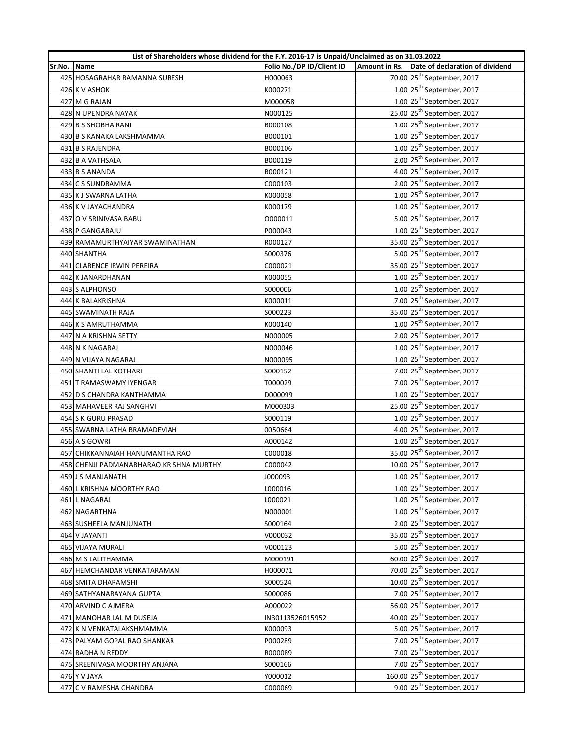|        | List of Shareholders whose dividend for the F.Y. 2016-17 is Unpaid/Unclaimed as on 31.03.2022 |                           |                                                 |
|--------|-----------------------------------------------------------------------------------------------|---------------------------|-------------------------------------------------|
| Sr.No. | Name                                                                                          | Folio No./DP ID/Client ID | Amount in Rs.   Date of declaration of dividend |
|        | 425 HOSAGRAHAR RAMANNA SURESH                                                                 | H000063                   | 70.00 25 <sup>th</sup> September, 2017          |
|        | 426 K V ASHOK                                                                                 | K000271                   | $1.00$ 25 <sup>th</sup> September, 2017         |
|        | 427 M G RAJAN                                                                                 | M000058                   | $1.00$ 25 <sup>th</sup> September, 2017         |
|        | 428 N UPENDRA NAYAK                                                                           | N000125                   | 25.00 25 <sup>th</sup> September, 2017          |
|        | 429 B S SHOBHA RANI                                                                           | B000108                   | $1.00$ 25 <sup>th</sup> September, 2017         |
|        | 430 B S KANAKA LAKSHMAMMA                                                                     | B000101                   | $1.00$ 25 <sup>th</sup> September, 2017         |
|        | 431 B S RAJENDRA                                                                              | B000106                   | $1.00$ 25 <sup>th</sup> September, 2017         |
|        | 432 B A VATHSALA                                                                              | B000119                   | 2.00 25 <sup>th</sup> September, 2017           |
|        | 433 B S ANANDA                                                                                | B000121                   | 4.00 25 <sup>th</sup> September, 2017           |
|        | 434 C S SUNDRAMMA                                                                             | C000103                   | 2.00 25 <sup>th</sup> September, 2017           |
|        | 435 K J SWARNA LATHA                                                                          | K000058                   | $1.00$ 25 <sup>th</sup> September, 2017         |
|        | 436 K V JAYACHANDRA                                                                           | K000179                   | $1.00$ 25 <sup>th</sup> September, 2017         |
|        | 437 O V SRINIVASA BABU                                                                        | 0000011                   | 5.00 25 <sup>th</sup> September, 2017           |
|        | 438 P GANGARAJU                                                                               | P000043                   | $1.00$ 25 <sup>th</sup> September, 2017         |
|        | 439 RAMAMURTHYAIYAR SWAMINATHAN                                                               | R000127                   | 35.00 25 <sup>th</sup> September, 2017          |
|        | 440 SHANTHA                                                                                   | S000376                   | 5.00 25 <sup>th</sup> September, 2017           |
|        | 441 CLARENCE IRWIN PEREIRA                                                                    | C000021                   | 35.00 25 <sup>th</sup> September, 2017          |
|        | 442 K JANARDHANAN                                                                             | K000055                   | $1.00$ 25 <sup>th</sup> September, 2017         |
|        | 443 S ALPHONSO                                                                                | \$000006                  | $1.00$ 25 <sup>th</sup> September, 2017         |
|        | <b>444 K BALAKRISHNA</b>                                                                      | K000011                   | 7.00 25 <sup>th</sup> September, 2017           |
|        | 445 SWAMINATH RAJA                                                                            | S000223                   | 35.00 25 <sup>th</sup> September, 2017          |
|        | 446 K S AMRUTHAMMA                                                                            | K000140                   | $1.00$ 25 <sup>th</sup> September, 2017         |
|        | 447 N A KRISHNA SETTY                                                                         | N000005                   | 2.00 25 <sup>th</sup> September, 2017           |
|        | 448 N K NAGARAJ                                                                               | N000046                   | $1.00$ 25 <sup>th</sup> September, 2017         |
|        | 449 N VIJAYA NAGARAJ                                                                          | N000095                   | $1.00$ 25 <sup>th</sup> September, 2017         |
|        | 450 SHANTI LAL KOTHARI                                                                        | S000152                   | 7.00 25 <sup>th</sup> September, 2017           |
|        | 451 T RAMASWAMY IYENGAR                                                                       | T000029                   | 7.00 25 <sup>th</sup> September, 2017           |
|        | 452 D S CHANDRA KANTHAMMA                                                                     | D000099                   | $1.00$ 25 <sup>th</sup> September, 2017         |
|        | 453 MAHAVEER RAJ SANGHVI                                                                      | M000303                   | 25.00 25 <sup>th</sup> September, 2017          |
|        | 454 S K GURU PRASAD                                                                           | S000119                   | $1.00$ 25 <sup>th</sup> September, 2017         |
|        | 455 SWARNA LATHA BRAMADEVIAH                                                                  | 0050664                   | 4.00 25 <sup>th</sup> September, 2017           |
|        | 456 A S GOWRI                                                                                 | A000142                   | $1.00$ 25 <sup>th</sup> September, 2017         |
|        | 457 CHIKKANNAIAH HANUMANTHA RAO                                                               | C000018                   | 35.00 25 <sup>th</sup> September, 2017          |
|        | 458 CHENJI PADMANABHARAO KRISHNA MURTHY                                                       | C000042                   | 10.00 25 <sup>th</sup> September, 2017          |
|        | 459 J S MANJANATH                                                                             | J000093                   | $1.00$ 25 <sup>th</sup> September, 2017         |
|        | 460 L KRISHNA MOORTHY RAO                                                                     | L000016                   | $1.00$ 25 <sup>th</sup> September, 2017         |
|        | 461 L NAGARAJ                                                                                 | L000021                   | $1.00$ 25 <sup>th</sup> September, 2017         |
|        | 462 NAGARTHNA                                                                                 |                           | $1.00$ 25 <sup>th</sup> September, 2017         |
|        |                                                                                               | N000001                   | 2.00 25 <sup>th</sup> September, 2017           |
|        | 463 SUSHEELA MANJUNATH                                                                        | S000164                   | 35.00 25 <sup>th</sup> September, 2017          |
|        | 464 V JAYANTI                                                                                 | V000032                   | 5.00 25 <sup>th</sup> September, 2017           |
|        | <b>465 VIJAYA MURALI</b>                                                                      | V000123                   | 60.00 25 <sup>th</sup> September, 2017          |
|        | 466 M S LALITHAMMA                                                                            | M000191                   |                                                 |
|        | 467 HEMCHANDAR VENKATARAMAN                                                                   | H000071                   | 70.00 25 <sup>th</sup> September, 2017          |
|        | 468 SMITA DHARAMSHI                                                                           | S000524                   | 10.00 25 <sup>th</sup> September, 2017          |
|        | 469 SATHYANARAYANA GUPTA                                                                      | S000086                   | 7.00 25 <sup>th</sup> September, 2017           |
|        | 470 ARVIND C AJMERA                                                                           | A000022                   | 56.00 25 <sup>th</sup> September, 2017          |
|        | 471 MANOHAR LAL M DUSEJA                                                                      | IN30113526015952          | 40.00 25 <sup>th</sup> September, 2017          |
|        | 472 K N VENKATALAKSHMAMMA                                                                     | K000093                   | 5.00 25 <sup>th</sup> September, 2017           |
|        | 473 PALYAM GOPAL RAO SHANKAR                                                                  | P000289                   | 7.00 25 <sup>th</sup> September, 2017           |
|        | 474 RADHA N REDDY                                                                             | R000089                   | 7.00 25 <sup>th</sup> September, 2017           |
|        | 475 SREENIVASA MOORTHY ANJANA                                                                 | S000166                   | 7.00 25 <sup>th</sup> September, 2017           |
|        | 476 Y V JAYA                                                                                  | Y000012                   | 160.00 25 <sup>th</sup> September, 2017         |
|        | 477 C V RAMESHA CHANDRA                                                                       | C000069                   | 9.00 25 <sup>th</sup> September, 2017           |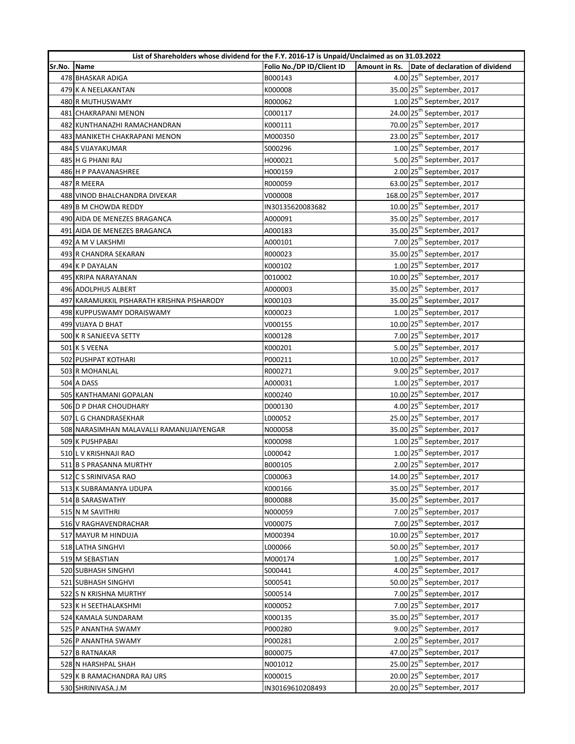|        | List of Shareholders whose dividend for the F.Y. 2016-17 is Unpaid/Unclaimed as on 31.03.2022 |                           |  |                                               |
|--------|-----------------------------------------------------------------------------------------------|---------------------------|--|-----------------------------------------------|
| Sr.No. | Name                                                                                          | Folio No./DP ID/Client ID |  | Amount in Rs. Date of declaration of dividend |
|        | 478 BHASKAR ADIGA                                                                             | B000143                   |  | 4.00 25 <sup>th</sup> September, 2017         |
|        | 479 K A NEELAKANTAN                                                                           | K000008                   |  | 35.00 25 <sup>th</sup> September, 2017        |
|        | 480 R MUTHUSWAMY                                                                              | R000062                   |  | $1.00$ 25 <sup>th</sup> September, 2017       |
|        | 481 CHAKRAPANI MENON                                                                          | C000117                   |  | 24.00 25 <sup>th</sup> September, 2017        |
|        | 482 KUNTHANAZHI RAMACHANDRAN                                                                  | K000111                   |  | 70.00 25 <sup>th</sup> September, 2017        |
|        | 483 MANIKETH CHAKRAPANI MENON                                                                 | M000350                   |  | 23.00 25 <sup>th</sup> September, 2017        |
|        | 484 S VIJAYAKUMAR                                                                             | S000296                   |  | $1.00$ 25 <sup>th</sup> September, 2017       |
|        | 485 H G PHANI RAJ                                                                             | H000021                   |  | 5.00 25 <sup>th</sup> September, 2017         |
|        | 486 H P PAAVANASHREE                                                                          | H000159                   |  | 2.00 25 <sup>th</sup> September, 2017         |
|        | 487 R MEERA                                                                                   | R000059                   |  | 63.00 25 <sup>th</sup> September, 2017        |
|        | 488 VINOD BHALCHANDRA DIVEKAR                                                                 | V000008                   |  | 168.00 25 <sup>th</sup> September, 2017       |
|        | 489 B M CHOWDA REDDY                                                                          | IN30135620083682          |  | 10.00 25 <sup>th</sup> September, 2017        |
|        | 490 AIDA DE MENEZES BRAGANCA                                                                  | A000091                   |  | 35.00 25 <sup>th</sup> September, 2017        |
|        | 491 AIDA DE MENEZES BRAGANCA                                                                  | A000183                   |  | 35.00 25 <sup>th</sup> September, 2017        |
|        | 492 A M V LAKSHMI                                                                             | A000101                   |  | 7.00 25 <sup>th</sup> September, 2017         |
|        | 493 R CHANDRA SEKARAN                                                                         | R000023                   |  | 35.00 25 <sup>th</sup> September, 2017        |
|        | 494 K P DAYALAN                                                                               | K000102                   |  | $1.00$ 25 <sup>th</sup> September, 2017       |
|        | 495 KRIPA NARAYANAN                                                                           | 0010002                   |  | 10.00 25 <sup>th</sup> September, 2017        |
|        | 496 ADOLPHUS ALBERT                                                                           | A000003                   |  | 35.00 25 <sup>th</sup> September, 2017        |
|        | 497 KARAMUKKIL PISHARATH KRISHNA PISHARODY                                                    | K000103                   |  | 35.00 25 <sup>th</sup> September, 2017        |
|        | 498 KUPPUSWAMY DORAISWAMY                                                                     | K000023                   |  | $1.00$ 25 <sup>th</sup> September, 2017       |
|        | 499 VIJAYA D BHAT                                                                             | V000155                   |  | 10.00 25 <sup>th</sup> September, 2017        |
|        | 500 K R SANJEEVA SETTY                                                                        | K000128                   |  | 7.00 25 <sup>th</sup> September, 2017         |
|        | 501 K S VEENA                                                                                 | K000201                   |  | 5.00 25 <sup>th</sup> September, 2017         |
|        | 502 PUSHPAT KOTHARI                                                                           | P000211                   |  | 10.00 25 <sup>th</sup> September, 2017        |
|        | 503 R MOHANLAL                                                                                | R000271                   |  | 9.00 25 <sup>th</sup> September, 2017         |
|        | <b>504 A DASS</b>                                                                             | A000031                   |  | $1.00$ 25 <sup>th</sup> September, 2017       |
|        | 505 KANTHAMANI GOPALAN                                                                        | K000240                   |  | 10.00 25 <sup>th</sup> September, 2017        |
|        | 506 D P DHAR CHOUDHARY                                                                        | D000130                   |  | 4.00 25 <sup>th</sup> September, 2017         |
|        | 507 L G CHANDRASEKHAR                                                                         | L000052                   |  | 25.00 25 <sup>th</sup> September, 2017        |
|        | 508 NARASIMHAN MALAVALLI RAMANUJAIYENGAR                                                      | N000058                   |  | 35.00 25 <sup>th</sup> September, 2017        |
|        | 509 K PUSHPABAI                                                                               | K000098                   |  | $1.00$ 25 <sup>th</sup> September, 2017       |
|        | 510 L V KRISHNAJI RAO                                                                         | L000042                   |  | $1.00$ 25 <sup>th</sup> September, 2017       |
|        | 511 B S PRASANNA MURTHY                                                                       | B000105                   |  | 2.00 25 <sup>th</sup> September, 2017         |
|        | 512 C S SRINIVASA RAO                                                                         | C000063                   |  | 14.00 25 <sup>th</sup> September, 2017        |
|        | 513 K SUBRAMANYA UDUPA                                                                        | K000166                   |  | 35.00 25 <sup>th</sup> September, 2017        |
|        | 514 B SARASWATHY                                                                              | B000088                   |  | 35.00 25 <sup>th</sup> September, 2017        |
|        | 515 N M SAVITHRI                                                                              | N000059                   |  | 7.00 25 <sup>th</sup> September, 2017         |
|        | 516 V RAGHAVENDRACHAR                                                                         | V000075                   |  | 7.00 25 <sup>th</sup> September, 2017         |
|        | 517 MAYUR M HINDUJA                                                                           | M000394                   |  | 10.00 25 <sup>th</sup> September, 2017        |
|        | 518 LATHA SINGHVI                                                                             | L000066                   |  | 50.00 25 <sup>th</sup> September, 2017        |
|        | 519 M SEBASTIAN                                                                               | M000174                   |  | $1.00$ $25th$ September, 2017                 |
|        | 520 SUBHASH SINGHVI                                                                           | S000441                   |  | 4.00 25 <sup>th</sup> September, 2017         |
|        | 521 SUBHASH SINGHVI                                                                           | S000541                   |  | 50.00 25 <sup>th</sup> September, 2017        |
|        | 522 S N KRISHNA MURTHY                                                                        | S000514                   |  | 7.00 25 <sup>th</sup> September, 2017         |
|        | 523 K H SEETHALAKSHMI                                                                         | K000052                   |  | 7.00 25 <sup>th</sup> September, 2017         |
|        | 524 KAMALA SUNDARAM                                                                           | K000135                   |  | 35.00 25 <sup>th</sup> September, 2017        |
|        | 525 P ANANTHA SWAMY                                                                           | P000280                   |  | 9.00 25 <sup>th</sup> September, 2017         |
|        | 526 P ANANTHA SWAMY                                                                           | P000281                   |  | 2.00 25 <sup>th</sup> September, 2017         |
|        | 527 B RATNAKAR                                                                                | B000075                   |  | 47.00 25 <sup>th</sup> September, 2017        |
|        | 528 N HARSHPAL SHAH                                                                           | N001012                   |  | 25.00 25 <sup>th</sup> September, 2017        |
|        | 529 K B RAMACHANDRA RAJ URS                                                                   | K000015                   |  | 20.00 25 <sup>th</sup> September, 2017        |
|        | 530 SHRINIVASA.J.M                                                                            | IN30169610208493          |  | 20.00 25 <sup>th</sup> September, 2017        |
|        |                                                                                               |                           |  |                                               |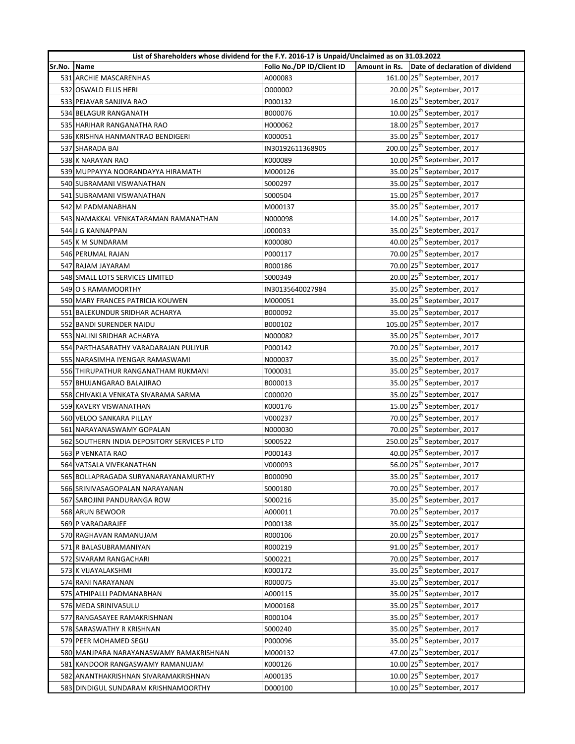|        | List of Shareholders whose dividend for the F.Y. 2016-17 is Unpaid/Unclaimed as on 31.03.2022 |                           |  |                                                 |  |
|--------|-----------------------------------------------------------------------------------------------|---------------------------|--|-------------------------------------------------|--|
| Sr.No. | Name                                                                                          | Folio No./DP ID/Client ID |  | Amount in Rs.   Date of declaration of dividend |  |
|        | 531 ARCHIE MASCARENHAS                                                                        | A000083                   |  | 161.00 25 <sup>th</sup> September, 2017         |  |
|        | 532 OSWALD ELLIS HERI                                                                         | 0000002                   |  | 20.00 25 <sup>th</sup> September, 2017          |  |
|        | 533 PEJAVAR SANJIVA RAO                                                                       | P000132                   |  | 16.00 25 <sup>th</sup> September, 2017          |  |
|        | 534 BELAGUR RANGANATH                                                                         | B000076                   |  | 10.00 25 <sup>th</sup> September, 2017          |  |
|        | 535 HARIHAR RANGANATHA RAO                                                                    | H000062                   |  | 18.00 25 <sup>th</sup> September, 2017          |  |
|        | 536 KRISHNA HANMANTRAO BENDIGERI                                                              | K000051                   |  | 35.00 25 <sup>th</sup> September, 2017          |  |
|        | 537 SHARADA BAI                                                                               | IN30192611368905          |  | 200.00 25 <sup>th</sup> September, 2017         |  |
|        | 538 K NARAYAN RAO                                                                             | K000089                   |  | 10.00 25 <sup>th</sup> September, 2017          |  |
|        | 539 MUPPAYYA NOORANDAYYA HIRAMATH                                                             | M000126                   |  | 35.00 25 <sup>th</sup> September, 2017          |  |
|        | 540 SUBRAMANI VISWANATHAN                                                                     | S000297                   |  | 35.00 25 <sup>th</sup> September, 2017          |  |
|        | 541 SUBRAMANI VISWANATHAN                                                                     | S000504                   |  | 15.00 25 <sup>th</sup> September, 2017          |  |
|        | 542 M PADMANABHAN                                                                             | M000137                   |  | 35.00 25 <sup>th</sup> September, 2017          |  |
|        | 543 NAMAKKAL VENKATARAMAN RAMANATHAN                                                          | N000098                   |  | 14.00 25 <sup>th</sup> September, 2017          |  |
|        | 544 J G KANNAPPAN                                                                             | J000033                   |  | 35.00 25 <sup>th</sup> September, 2017          |  |
|        | 545 K M SUNDARAM                                                                              | K000080                   |  | 40.00 25 <sup>th</sup> September, 2017          |  |
|        | 546 PERUMAL RAJAN                                                                             | P000117                   |  | 70.00 25 <sup>th</sup> September, 2017          |  |
|        | 547 RAJAM JAYARAM                                                                             | R000186                   |  | 70.00 25 <sup>th</sup> September, 2017          |  |
|        | 548 SMALL LOTS SERVICES LIMITED                                                               | S000349                   |  | 20.00 25 <sup>th</sup> September, 2017          |  |
|        | 549 O S RAMAMOORTHY                                                                           | IN30135640027984          |  | 35.00 25 <sup>th</sup> September, 2017          |  |
|        | 550 MARY FRANCES PATRICIA KOUWEN                                                              | M000051                   |  | 35.00 25 <sup>th</sup> September, 2017          |  |
|        | 551 BALEKUNDUR SRIDHAR ACHARYA                                                                | B000092                   |  | 35.00 25 <sup>th</sup> September, 2017          |  |
|        | 552 BANDI SURENDER NAIDU                                                                      | B000102                   |  | 105.00 25 <sup>th</sup> September, 2017         |  |
|        | 553 NALINI SRIDHAR ACHARYA                                                                    | N000082                   |  | 35.00 25 <sup>th</sup> September, 2017          |  |
|        | 554 PARTHASARATHY VARADARAJAN PULIYUR                                                         | P000142                   |  | 70.00 25 <sup>th</sup> September, 2017          |  |
|        | 555 NARASIMHA IYENGAR RAMASWAMI                                                               | N000037                   |  | 35.00 25 <sup>th</sup> September, 2017          |  |
|        | 556 THIRUPATHUR RANGANATHAM RUKMANI                                                           | T000031                   |  | 35.00 25 <sup>th</sup> September, 2017          |  |
|        | 557 BHUJANGARAO BALAJIRAO                                                                     | B000013                   |  | 35.00 25 <sup>th</sup> September, 2017          |  |
|        | 558 CHIVAKLA VENKATA SIVARAMA SARMA                                                           | C000020                   |  | 35.00 25 <sup>th</sup> September, 2017          |  |
|        | 559 KAVERY VISWANATHAN                                                                        | K000176                   |  | 15.00 25 <sup>th</sup> September, 2017          |  |
|        | 560 VELOO SANKARA PILLAY                                                                      | V000237                   |  | 70.00 25 <sup>th</sup> September, 2017          |  |
|        | 561 NARAYANASWAMY GOPALAN                                                                     | N000030                   |  | 70.00 25 <sup>th</sup> September, 2017          |  |
|        | 562 SOUTHERN INDIA DEPOSITORY SERVICES P LTD                                                  | S000522                   |  | 250.00 25 <sup>th</sup> September, 2017         |  |
|        | 563 P VENKATA RAO                                                                             | P000143                   |  | 40.00 25 <sup>th</sup> September, 2017          |  |
|        | 564 VATSALA VIVEKANATHAN                                                                      | V000093                   |  | 56.00 25 <sup>th</sup> September, 2017          |  |
|        | 565 BOLLAPRAGADA SURYANARAYANAMURTHY                                                          | B000090                   |  | 35.00 25 <sup>th</sup> September, 2017          |  |
|        | 566 SRINIVASAGOPALAN NARAYANAN                                                                | S000180                   |  | 70.00 25 <sup>th</sup> September, 2017          |  |
|        | 567 SAROJINI PANDURANGA ROW                                                                   | S000216                   |  | 35.00 25 <sup>th</sup> September, 2017          |  |
|        | 568 ARUN BEWOOR                                                                               | A000011                   |  | 70.00 25 <sup>th</sup> September, 2017          |  |
|        | 569 P VARADARAJEE                                                                             | P000138                   |  | 35.00 25 <sup>th</sup> September, 2017          |  |
|        | 570 RAGHAVAN RAMANUJAM                                                                        | R000106                   |  | 20.00 25 <sup>th</sup> September, 2017          |  |
|        | 571 R BALASUBRAMANIYAN                                                                        | R000219                   |  | 91.00 25 <sup>th</sup> September, 2017          |  |
|        | 572 SIVARAM RANGACHARI                                                                        | S000221                   |  | 70.00 25 <sup>th</sup> September, 2017          |  |
|        | 573 K VIJAYALAKSHMI                                                                           | K000172                   |  | 35.00 25 <sup>th</sup> September, 2017          |  |
|        | 574 RANI NARAYANAN                                                                            | R000075                   |  | 35.00 25 <sup>th</sup> September, 2017          |  |
|        | 575 ATHIPALLI PADMANABHAN                                                                     | A000115                   |  | 35.00 25 <sup>th</sup> September, 2017          |  |
|        | 576 MEDA SRINIVASULU                                                                          | M000168                   |  | 35.00 25 <sup>th</sup> September, 2017          |  |
|        | 577 RANGASAYEE RAMAKRISHNAN                                                                   | R000104                   |  | 35.00 25 <sup>th</sup> September, 2017          |  |
|        | 578 SARASWATHY R KRISHNAN                                                                     | S000240                   |  | 35.00 25 <sup>th</sup> September, 2017          |  |
|        | 579 PEER MOHAMED SEGU                                                                         | P000096                   |  | 35.00 25 <sup>th</sup> September, 2017          |  |
|        | 580 MANJPARA NARAYANASWAMY RAMAKRISHNAN                                                       | M000132                   |  | 47.00 25 <sup>th</sup> September, 2017          |  |
|        | 581 KANDOOR RANGASWAMY RAMANUJAM                                                              | K000126                   |  | 10.00 25 <sup>th</sup> September, 2017          |  |
|        | 582 ANANTHAKRISHNAN SIVARAMAKRISHNAN                                                          | A000135                   |  | 10.00 25 <sup>th</sup> September, 2017          |  |
|        | 583 DINDIGUL SUNDARAM KRISHNAMOORTHY                                                          | D000100                   |  | 10.00 25 <sup>th</sup> September, 2017          |  |
|        |                                                                                               |                           |  |                                                 |  |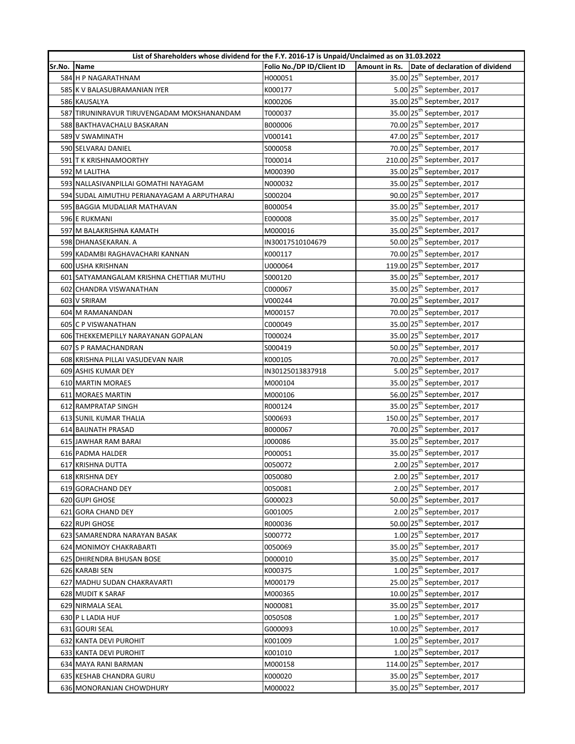|        | List of Shareholders whose dividend for the F.Y. 2016-17 is Unpaid/Unclaimed as on 31.03.2022 |                           |  |                                               |
|--------|-----------------------------------------------------------------------------------------------|---------------------------|--|-----------------------------------------------|
| Sr.No. | <b>Name</b>                                                                                   | Folio No./DP ID/Client ID |  | Amount in Rs. Date of declaration of dividend |
|        | 584 H P NAGARATHNAM                                                                           | H000051                   |  | 35.00 25 <sup>th</sup> September, 2017        |
|        | 585 K V BALASUBRAMANIAN IYER                                                                  | K000177                   |  | 5.00 25 <sup>th</sup> September, 2017         |
|        | 586 KAUSALYA                                                                                  | K000206                   |  | 35.00 25 <sup>th</sup> September, 2017        |
|        | 587 TIRUNINRAVUR TIRUVENGADAM MOKSHANANDAM                                                    | T000037                   |  | 35.00 25 <sup>th</sup> September, 2017        |
|        | 588 BAKTHAVACHALU BASKARAN                                                                    | B000006                   |  | 70.00 25 <sup>th</sup> September, 2017        |
|        | 589 V SWAMINATH                                                                               | V000141                   |  | 47.00 25 <sup>th</sup> September, 2017        |
|        | 590 SELVARAJ DANIEL                                                                           | \$000058                  |  | 70.00 25 <sup>th</sup> September, 2017        |
|        | 591 T K KRISHNAMOORTHY                                                                        | T000014                   |  | 210.00 25 <sup>th</sup> September, 2017       |
|        | 592 M LALITHA                                                                                 | M000390                   |  | 35.00 25 <sup>th</sup> September, 2017        |
|        | 593 NALLASIVANPILLAI GOMATHI NAYAGAM                                                          | N000032                   |  | 35.00 25 <sup>th</sup> September, 2017        |
|        | 594 SUDAL AIMUTHU PERIANAYAGAM A ARPUTHARAJ                                                   | S000204                   |  | 90.00 25 <sup>th</sup> September, 2017        |
|        | 595 BAGGIA MUDALIAR MATHAVAN                                                                  | B000054                   |  | 35.00 25 <sup>th</sup> September, 2017        |
|        | 596 E RUKMANI                                                                                 | E000008                   |  | 35.00 25 <sup>th</sup> September, 2017        |
|        | 597 M BALAKRISHNA KAMATH                                                                      | M000016                   |  | 35.00 25 <sup>th</sup> September, 2017        |
|        | 598 DHANASEKARAN. A                                                                           | IN30017510104679          |  | 50.00 25 <sup>th</sup> September, 2017        |
|        | 599 KADAMBI RAGHAVACHARI KANNAN                                                               | K000117                   |  | 70.00 25 <sup>th</sup> September, 2017        |
|        | 600 USHA KRISHNAN                                                                             | U000064                   |  | 119.00 25 <sup>th</sup> September, 2017       |
|        | 601 SATYAMANGALAM KRISHNA CHETTIAR MUTHU                                                      | S000120                   |  | 35.00 25 <sup>th</sup> September, 2017        |
|        | 602 CHANDRA VISWANATHAN                                                                       | C000067                   |  | 35.00 25 <sup>th</sup> September, 2017        |
|        | 603 V SRIRAM                                                                                  | V000244                   |  | 70.00 25 <sup>th</sup> September, 2017        |
|        | 604 M RAMANANDAN                                                                              | M000157                   |  | 70.00 25 <sup>th</sup> September, 2017        |
|        | 605 C P VISWANATHAN                                                                           | C000049                   |  | 35.00 25 <sup>th</sup> September, 2017        |
|        | 606 THEKKEMEPILLY NARAYANAN GOPALAN                                                           | T000024                   |  | 35.00 25 <sup>th</sup> September, 2017        |
|        | 607 S P RAMACHANDRAN                                                                          | S000419                   |  | 50.00 25 <sup>th</sup> September, 2017        |
|        | 608 KRISHNA PILLAI VASUDEVAN NAIR                                                             | K000105                   |  | 70.00 25 <sup>th</sup> September, 2017        |
|        | 609 ASHIS KUMAR DEY                                                                           | IN30125013837918          |  | 5.00 25 <sup>th</sup> September, 2017         |
|        | 610 MARTIN MORAES                                                                             | M000104                   |  | 35.00 25 <sup>th</sup> September, 2017        |
|        | 611 MORAES MARTIN                                                                             | M000106                   |  | 56.00 25 <sup>th</sup> September, 2017        |
|        | 612 RAMPRATAP SINGH                                                                           | R000124                   |  | 35.00 25 <sup>th</sup> September, 2017        |
|        | 613 SUNIL KUMAR THALIA                                                                        | S000693                   |  | 150.00 25 <sup>th</sup> September, 2017       |
|        | 614 BAIJNATH PRASAD                                                                           | B000067                   |  | 70.00 25 <sup>th</sup> September, 2017        |
|        | 615 JAWHAR RAM BARAI                                                                          | J000086                   |  | 35.00 25 <sup>th</sup> September, 2017        |
|        | 616 PADMA HALDER                                                                              | P000051                   |  | 35.00 25 <sup>th</sup> September, 2017        |
|        | 617 KRISHNA DUTTA                                                                             | 0050072                   |  | 2.00 25 <sup>th</sup> September, 2017         |
|        | 618 KRISHNA DEY                                                                               | 0050080                   |  | 2.00 25 <sup>th</sup> September, 2017         |
|        | 619 GORACHAND DEY                                                                             | 0050081                   |  | 2.00 25 <sup>th</sup> September, 2017         |
|        | 620 GUPI GHOSE                                                                                | G000023                   |  | 50.00 25 <sup>th</sup> September, 2017        |
|        | 621 GORA CHAND DEY                                                                            | G001005                   |  | 2.00 25 <sup>th</sup> September, 2017         |
|        | 622 RUPI GHOSE                                                                                | R000036                   |  | 50.00 25 <sup>th</sup> September, 2017        |
|        | 623 SAMARENDRA NARAYAN BASAK                                                                  | S000772                   |  | $1.00$ 25 <sup>th</sup> September, 2017       |
|        | 624 MONIMOY CHAKRABARTI                                                                       | 0050069                   |  | 35.00 25 <sup>th</sup> September, 2017        |
|        | 625 DHIRENDRA BHUSAN BOSE                                                                     | D000010                   |  | 35.00 25 <sup>th</sup> September, 2017        |
|        | 626 KARABI SEN                                                                                | K000375                   |  | $1.00$ $25th$ September, 2017                 |
|        | 627 MADHU SUDAN CHAKRAVARTI                                                                   | M000179                   |  | 25.00 25 <sup>th</sup> September, 2017        |
|        | 628 MUDIT K SARAF                                                                             | M000365                   |  | 10.00 25 <sup>th</sup> September, 2017        |
|        | 629 NIRMALA SEAL                                                                              | N000081                   |  | 35.00 25 <sup>th</sup> September, 2017        |
|        | 630 P L LADIA HUF                                                                             | 0050508                   |  | $1.00$ 25 <sup>th</sup> September, 2017       |
|        | 631 GOURI SEAL                                                                                | G000093                   |  | 10.00 25 <sup>th</sup> September, 2017        |
|        | 632 KANTA DEVI PUROHIT                                                                        | K001009                   |  | $1.00$ 25 <sup>th</sup> September, 2017       |
|        | 633 KANTA DEVI PUROHIT                                                                        | K001010                   |  | $1.00$ 25 <sup>th</sup> September, 2017       |
|        | 634 MAYA RANI BARMAN                                                                          | M000158                   |  | 114.00 25 <sup>th</sup> September, 2017       |
|        | 635 KESHAB CHANDRA GURU                                                                       | K000020                   |  | 35.00 25 <sup>th</sup> September, 2017        |
|        | 636 MONORANJAN CHOWDHURY                                                                      | M000022                   |  | 35.00 25 <sup>th</sup> September, 2017        |
|        |                                                                                               |                           |  |                                               |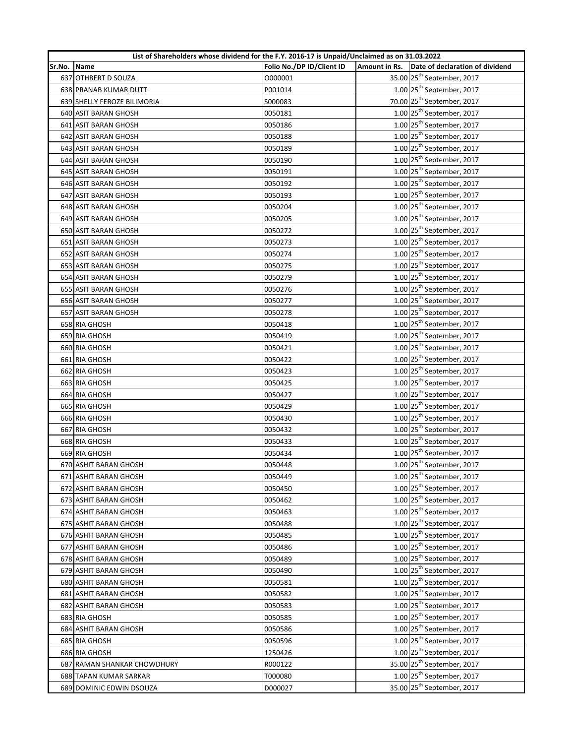| List of Shareholders whose dividend for the F.Y. 2016-17 is Unpaid/Unclaimed as on 31.03.2022 |                              |                           |  |                                               |  |
|-----------------------------------------------------------------------------------------------|------------------------------|---------------------------|--|-----------------------------------------------|--|
| Sr.No.                                                                                        | Name                         | Folio No./DP ID/Client ID |  | Amount in Rs. Date of declaration of dividend |  |
|                                                                                               | 637 OTHBERT D SOUZA          | 0000001                   |  | 35.00 25 <sup>th</sup> September, 2017        |  |
|                                                                                               | 638 PRANAB KUMAR DUTT        | P001014                   |  | $1.00$ 25 <sup>th</sup> September, 2017       |  |
|                                                                                               | 639 SHELLY FEROZE BILIMORIA  | S000083                   |  | 70.00 25 <sup>th</sup> September, 2017        |  |
|                                                                                               | 640 ASIT BARAN GHOSH         | 0050181                   |  | $1.00$ $25th$ September, 2017                 |  |
|                                                                                               | 641 ASIT BARAN GHOSH         | 0050186                   |  | $1.00$ 25 <sup>th</sup> September, 2017       |  |
|                                                                                               | 642 ASIT BARAN GHOSH         | 0050188                   |  | $1.00$ 25 <sup>th</sup> September, 2017       |  |
|                                                                                               | 643 ASIT BARAN GHOSH         | 0050189                   |  | $1.00$ 25 <sup>th</sup> September, 2017       |  |
|                                                                                               | 644 ASIT BARAN GHOSH         | 0050190                   |  | $1.00$ 25 <sup>th</sup> September, 2017       |  |
|                                                                                               | 645 ASIT BARAN GHOSH         | 0050191                   |  | $1.00$ 25 <sup>th</sup> September, 2017       |  |
|                                                                                               | 646 ASIT BARAN GHOSH         | 0050192                   |  | $1.00$ 25 <sup>th</sup> September, 2017       |  |
|                                                                                               | 647 ASIT BARAN GHOSH         | 0050193                   |  | $1.00$ 25 <sup>th</sup> September, 2017       |  |
|                                                                                               | 648 ASIT BARAN GHOSH         | 0050204                   |  | $1.00$ 25 <sup>th</sup> September, 2017       |  |
|                                                                                               | 649 ASIT BARAN GHOSH         | 0050205                   |  | $1.00$ 25 <sup>th</sup> September, 2017       |  |
|                                                                                               | 650 ASIT BARAN GHOSH         | 0050272                   |  | $1.00$ 25 <sup>th</sup> September, 2017       |  |
|                                                                                               | 651 ASIT BARAN GHOSH         | 0050273                   |  | $1.00$ 25 <sup>th</sup> September, 2017       |  |
|                                                                                               | 652 ASIT BARAN GHOSH         | 0050274                   |  | $1.00$ 25 <sup>th</sup> September, 2017       |  |
|                                                                                               | 653 ASIT BARAN GHOSH         | 0050275                   |  | $1.00$ 25 <sup>th</sup> September, 2017       |  |
|                                                                                               | 654 ASIT BARAN GHOSH         | 0050279                   |  | $1.00$ 25 <sup>th</sup> September, 2017       |  |
|                                                                                               | 655 ASIT BARAN GHOSH         | 0050276                   |  | $1.00$ 25 <sup>th</sup> September, 2017       |  |
|                                                                                               | 656 ASIT BARAN GHOSH         | 0050277                   |  | $1.00$ 25 <sup>th</sup> September, 2017       |  |
|                                                                                               | 657 ASIT BARAN GHOSH         | 0050278                   |  | $1.00$ 25 <sup>th</sup> September, 2017       |  |
|                                                                                               | 658 RIA GHOSH                | 0050418                   |  | $1.00$ 25 <sup>th</sup> September, 2017       |  |
|                                                                                               | 659 RIA GHOSH                | 0050419                   |  | $1.00$ 25 <sup>th</sup> September, 2017       |  |
|                                                                                               | 660 RIA GHOSH                | 0050421                   |  | $1.00$ 25 <sup>th</sup> September, 2017       |  |
|                                                                                               | 661 RIA GHOSH                | 0050422                   |  | $1.00$ 25 <sup>th</sup> September, 2017       |  |
|                                                                                               | 662 RIA GHOSH                | 0050423                   |  | $1.00$ 25 <sup>th</sup> September, 2017       |  |
|                                                                                               | 663 RIA GHOSH                | 0050425                   |  | $1.00$ 25 <sup>th</sup> September, 2017       |  |
|                                                                                               | 664 RIA GHOSH                | 0050427                   |  | 1.00 25 <sup>th</sup> September, 2017         |  |
|                                                                                               | 665 RIA GHOSH                | 0050429                   |  | $1.00$ 25 <sup>th</sup> September, 2017       |  |
|                                                                                               | 666 RIA GHOSH                | 0050430                   |  | $1.00$ 25 <sup>th</sup> September, 2017       |  |
|                                                                                               | 667 RIA GHOSH                | 0050432                   |  | $1.00$ 25 <sup>th</sup> September, 2017       |  |
|                                                                                               | 668 RIA GHOSH                | 0050433                   |  | $1.00$ 25 <sup>th</sup> September, 2017       |  |
|                                                                                               | 669 RIA GHOSH                | 0050434                   |  | $1.00$ 25 <sup>th</sup> September, 2017       |  |
|                                                                                               | 670 ASHIT BARAN GHOSH        | 0050448                   |  | $1.00$ 25 <sup>th</sup> September, 2017       |  |
|                                                                                               | 671 ASHIT BARAN GHOSH        | 0050449                   |  | $1.00$ $25^{\text{th}}$ September, 2017       |  |
|                                                                                               | 672 ASHIT BARAN GHOSH        | 0050450                   |  | $1.00$ 25 <sup>th</sup> September, 2017       |  |
|                                                                                               | 673 ASHIT BARAN GHOSH        | 0050462                   |  | $1.00$ 25 <sup>th</sup> September, 2017       |  |
|                                                                                               | <b>674 ASHIT BARAN GHOSH</b> | 0050463                   |  | $1.00$ 25 <sup>th</sup> September, 2017       |  |
|                                                                                               | 675 ASHIT BARAN GHOSH        | 0050488                   |  | $1.00$ 25 <sup>th</sup> September, 2017       |  |
|                                                                                               | 676 ASHIT BARAN GHOSH        | 0050485                   |  | $1.00$ 25 <sup>th</sup> September, 2017       |  |
|                                                                                               | 677 ASHIT BARAN GHOSH        | 0050486                   |  | $1.00$ 25 <sup>th</sup> September, 2017       |  |
|                                                                                               | 678 ASHIT BARAN GHOSH        | 0050489                   |  | $1.00$ $25th$ September, 2017                 |  |
|                                                                                               | 679 ASHIT BARAN GHOSH        | 0050490                   |  | $1.00$ 25 <sup>th</sup> September, 2017       |  |
|                                                                                               | 680 ASHIT BARAN GHOSH        | 0050581                   |  | $1.00$ 25 <sup>th</sup> September, 2017       |  |
|                                                                                               | 681 ASHIT BARAN GHOSH        | 0050582                   |  | $1.00$ 25 <sup>th</sup> September, 2017       |  |
|                                                                                               | 682 ASHIT BARAN GHOSH        | 0050583                   |  | 1.00 25 <sup>th</sup> September, 2017         |  |
|                                                                                               | 683 RIA GHOSH                | 0050585                   |  | $1.00$ 25 <sup>th</sup> September, 2017       |  |
|                                                                                               | <b>684 ASHIT BARAN GHOSH</b> | 0050586                   |  | $1.00$ 25 <sup>th</sup> September, 2017       |  |
|                                                                                               | 685 RIA GHOSH                | 0050596                   |  | $1.00$ 25 <sup>th</sup> September, 2017       |  |
|                                                                                               | 686 RIA GHOSH                | 1250426                   |  | $1.00$ 25 <sup>th</sup> September, 2017       |  |
|                                                                                               | 687 RAMAN SHANKAR CHOWDHURY  | R000122                   |  | 35.00 25 <sup>th</sup> September, 2017        |  |
|                                                                                               | 688 TAPAN KUMAR SARKAR       | T000080                   |  | $1.00$ 25 <sup>th</sup> September, 2017       |  |
|                                                                                               | 689 DOMINIC EDWIN DSOUZA     | D000027                   |  | 35.00 25 <sup>th</sup> September, 2017        |  |
|                                                                                               |                              |                           |  |                                               |  |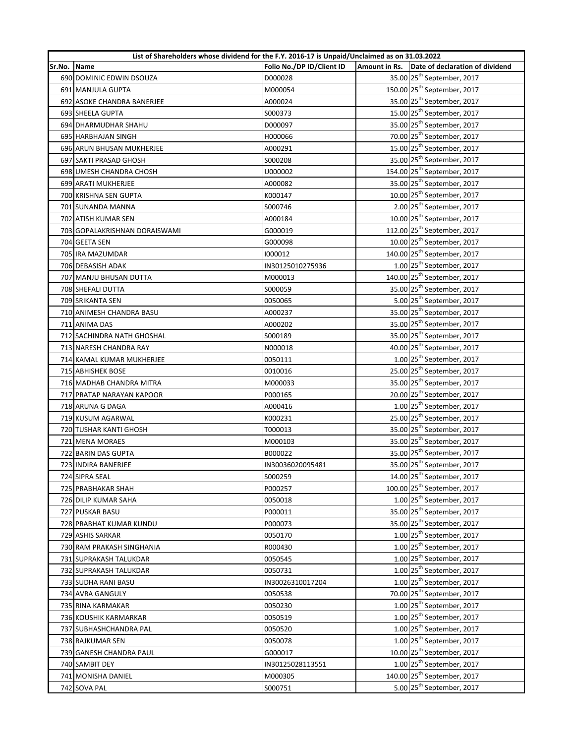| List of Shareholders whose dividend for the F.Y. 2016-17 is Unpaid/Unclaimed as on 31.03.2022 |                                             |                           |  |                                               |  |
|-----------------------------------------------------------------------------------------------|---------------------------------------------|---------------------------|--|-----------------------------------------------|--|
| Sr.No.                                                                                        | <b>Name</b>                                 | Folio No./DP ID/Client ID |  | Amount in Rs. Date of declaration of dividend |  |
|                                                                                               | 690 DOMINIC EDWIN DSOUZA                    | D000028                   |  | 35.00 25 <sup>th</sup> September, 2017        |  |
|                                                                                               | 691 MANJULA GUPTA                           | M000054                   |  | 150.00 25 <sup>th</sup> September, 2017       |  |
|                                                                                               | 692 ASOKE CHANDRA BANERJEE                  | A000024                   |  | 35.00 25 <sup>th</sup> September, 2017        |  |
|                                                                                               | 693 SHEELA GUPTA                            | S000373                   |  | 15.00 25 <sup>th</sup> September, 2017        |  |
|                                                                                               | 694 DHARMUDHAR SHAHU                        | D000097                   |  | 35.00 25 <sup>th</sup> September, 2017        |  |
|                                                                                               | 695 HARBHAJAN SINGH                         | H000066                   |  | 70.00 25 <sup>th</sup> September, 2017        |  |
|                                                                                               | 696 ARUN BHUSAN MUKHERJEE                   | A000291                   |  | 15.00 25 <sup>th</sup> September, 2017        |  |
|                                                                                               | 697 SAKTI PRASAD GHOSH                      | S000208                   |  | 35.00 25 <sup>th</sup> September, 2017        |  |
|                                                                                               | 698 UMESH CHANDRA CHOSH                     | U000002                   |  | 154.00 25 <sup>th</sup> September, 2017       |  |
|                                                                                               | 699 ARATI MUKHERJEE                         | A000082                   |  | 35.00 25 <sup>th</sup> September, 2017        |  |
|                                                                                               | 700 KRISHNA SEN GUPTA                       | K000147                   |  | 10.00 25 <sup>th</sup> September, 2017        |  |
|                                                                                               | 701 SUNANDA MANNA                           | S000746                   |  | 2.00 25 <sup>th</sup> September, 2017         |  |
|                                                                                               | 702 ATISH KUMAR SEN                         | A000184                   |  | 10.00 25 <sup>th</sup> September, 2017        |  |
|                                                                                               | 703 GOPALAKRISHNAN DORAISWAMI               | G000019                   |  | 112.00 25 <sup>th</sup> September, 2017       |  |
|                                                                                               | 704 GEETA SEN                               | G000098                   |  | 10.00 25 <sup>th</sup> September, 2017        |  |
|                                                                                               | 705 IRA MAZUMDAR                            | 1000012                   |  | 140.00 25 <sup>th</sup> September, 2017       |  |
|                                                                                               | 706 DEBASISH ADAK                           | IN30125010275936          |  | $1.00$ 25 <sup>th</sup> September, 2017       |  |
|                                                                                               | 707 MANJU BHUSAN DUTTA                      | M000013                   |  | 140.00 25 <sup>th</sup> September, 2017       |  |
|                                                                                               | 708 SHEFALI DUTTA                           | S000059                   |  | 35.00 25 <sup>th</sup> September, 2017        |  |
|                                                                                               | <b>709 SRIKANTA SEN</b>                     | 0050065                   |  | 5.00 25 <sup>th</sup> September, 2017         |  |
|                                                                                               | 710 ANIMESH CHANDRA BASU                    | A000237                   |  | 35.00 25 <sup>th</sup> September, 2017        |  |
|                                                                                               | 711 ANIMA DAS                               | A000202                   |  | 35.00 25 <sup>th</sup> September, 2017        |  |
|                                                                                               | 712 SACHINDRA NATH GHOSHAL                  | S000189                   |  | 35.00 25 <sup>th</sup> September, 2017        |  |
|                                                                                               | 713 NARESH CHANDRA RAY                      | N000018                   |  | 40.00 25 <sup>th</sup> September, 2017        |  |
|                                                                                               | 714 KAMAL KUMAR MUKHERJEE                   | 0050111                   |  | $1.00$ 25 <sup>th</sup> September, 2017       |  |
|                                                                                               | 715 ABHISHEK BOSE                           | 0010016                   |  | 25.00 25 <sup>th</sup> September, 2017        |  |
|                                                                                               | 716 MADHAB CHANDRA MITRA                    | M000033                   |  | 35.00 25 <sup>th</sup> September, 2017        |  |
|                                                                                               | 717 PRATAP NARAYAN KAPOOR                   | P000165                   |  | 20.00 25 <sup>th</sup> September, 2017        |  |
|                                                                                               | 718 ARUNA G DAGA                            | A000416                   |  | $1.00$ 25 <sup>th</sup> September, 2017       |  |
|                                                                                               | 719 KUSUM AGARWAL                           | K000231                   |  | 25.00 25 <sup>th</sup> September, 2017        |  |
|                                                                                               | 720 TUSHAR KANTI GHOSH                      | T000013                   |  | 35.00 25 <sup>th</sup> September, 2017        |  |
|                                                                                               | 721 MENA MORAES                             | M000103                   |  | 35.00 25 <sup>th</sup> September, 2017        |  |
|                                                                                               | 722 BARIN DAS GUPTA                         | B000022                   |  | 35.00 25 <sup>th</sup> September, 2017        |  |
|                                                                                               | 723 INDIRA BANERJEE                         | IN30036020095481          |  | 35.00 25 <sup>th</sup> September, 2017        |  |
|                                                                                               | 724 SIPRA SEAL                              | S000259                   |  | 14.00 25 <sup>th</sup> September, 2017        |  |
|                                                                                               | 725 PRABHAKAR SHAH                          | P000257                   |  | 100.00 25 <sup>th</sup> September, 2017       |  |
|                                                                                               | 726 DILIP KUMAR SAHA                        | 0050018                   |  | $1.00$ 25 <sup>th</sup> September, 2017       |  |
|                                                                                               | 727 PUSKAR BASU                             | P000011                   |  | 35.00 25 <sup>th</sup> September, 2017        |  |
|                                                                                               |                                             | P000073                   |  | 35.00 25 <sup>th</sup> September, 2017        |  |
|                                                                                               | 728 PRABHAT KUMAR KUNDU<br>729 ASHIS SARKAR |                           |  | $1.00$ 25 <sup>th</sup> September, 2017       |  |
|                                                                                               |                                             | 0050170                   |  | $1.00$ 25 <sup>th</sup> September, 2017       |  |
|                                                                                               | 730 RAM PRAKASH SINGHANIA                   | R000430                   |  | $1.00$ 25 <sup>th</sup> September, 2017       |  |
|                                                                                               | 731 SUPRAKASH TALUKDAR                      | 0050545                   |  | $1.00$ $25th$ September, 2017                 |  |
|                                                                                               | 732 SUPRAKASH TALUKDAR                      | 0050731                   |  |                                               |  |
|                                                                                               | 733 SUDHA RANI BASU                         | IN30026310017204          |  | $1.00$ 25 <sup>th</sup> September, 2017       |  |
|                                                                                               | 734 AVRA GANGULY                            | 0050538                   |  | 70.00 25 <sup>th</sup> September, 2017        |  |
|                                                                                               | 735 RINA KARMAKAR                           | 0050230                   |  | $1.00$ 25 <sup>th</sup> September, 2017       |  |
|                                                                                               | 736 KOUSHIK KARMARKAR                       | 0050519                   |  | $1.00$ 25 <sup>th</sup> September, 2017       |  |
|                                                                                               | 737 SUBHASHCHANDRA PAL                      | 0050520                   |  | $1.00$ 25 <sup>th</sup> September, 2017       |  |
|                                                                                               | 738 RAJKUMAR SEN                            | 0050078                   |  | $1.00$ 25 <sup>th</sup> September, 2017       |  |
|                                                                                               | 739 GANESH CHANDRA PAUL                     | G000017                   |  | 10.00 25 <sup>th</sup> September, 2017        |  |
|                                                                                               | 740 SAMBIT DEY                              | IN30125028113551          |  | $1.00$ 25 <sup>th</sup> September, 2017       |  |
|                                                                                               | 741 MONISHA DANIEL                          | M000305                   |  | 140.00 25 <sup>th</sup> September, 2017       |  |
|                                                                                               | 742 SOVA PAL                                | S000751                   |  | 5.00 25 <sup>th</sup> September, 2017         |  |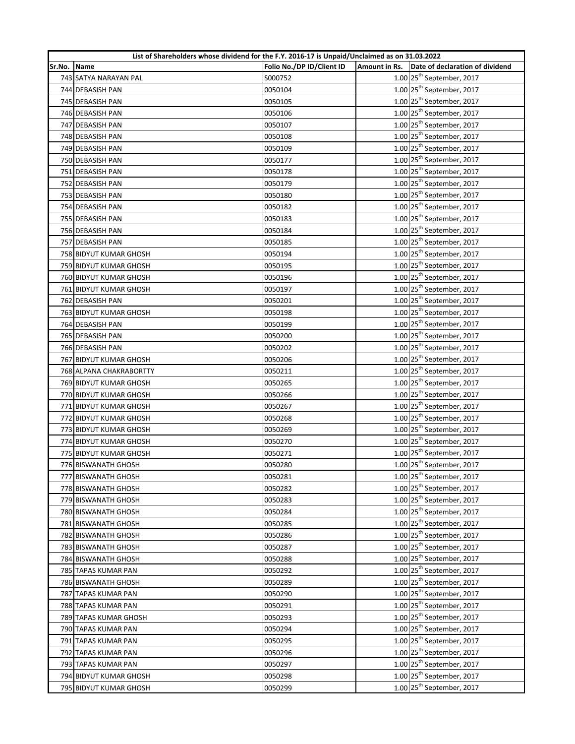| List of Shareholders whose dividend for the F.Y. 2016-17 is Unpaid/Unclaimed as on 31.03.2022 |                            |                           |                      |                                         |  |
|-----------------------------------------------------------------------------------------------|----------------------------|---------------------------|----------------------|-----------------------------------------|--|
| Sr.No.                                                                                        | Name                       | Folio No./DP ID/Client ID | <b>Amount in Rs.</b> | Date of declaration of dividend         |  |
|                                                                                               | 743 SATYA NARAYAN PAL      | S000752                   |                      | $1.00$ 25 <sup>th</sup> September, 2017 |  |
|                                                                                               | 744 DEBASISH PAN           | 0050104                   |                      | $1.00$ 25 <sup>th</sup> September, 2017 |  |
|                                                                                               | 745 DEBASISH PAN           | 0050105                   |                      | $1.00$ 25 <sup>th</sup> September, 2017 |  |
|                                                                                               | 746 DEBASISH PAN           | 0050106                   |                      | $1.00$ 25 <sup>th</sup> September, 2017 |  |
|                                                                                               | 747 DEBASISH PAN           | 0050107                   |                      | $1.00$ 25 <sup>th</sup> September, 2017 |  |
|                                                                                               | 748 DEBASISH PAN           | 0050108                   |                      | $1.00$ 25 <sup>th</sup> September, 2017 |  |
|                                                                                               | 749 DEBASISH PAN           | 0050109                   |                      | $1.00$ 25 <sup>th</sup> September, 2017 |  |
|                                                                                               | 750 DEBASISH PAN           | 0050177                   |                      | $1.00$ 25 <sup>th</sup> September, 2017 |  |
|                                                                                               | 751 DEBASISH PAN           | 0050178                   |                      | $1.00$ 25 <sup>th</sup> September, 2017 |  |
|                                                                                               | 752 DEBASISH PAN           | 0050179                   |                      | $1.00$ 25 <sup>th</sup> September, 2017 |  |
|                                                                                               | 753 DEBASISH PAN           | 0050180                   |                      | 1.00 25 <sup>th</sup> September, 2017   |  |
|                                                                                               | 754 DEBASISH PAN           | 0050182                   |                      | $1.00$ 25 <sup>th</sup> September, 2017 |  |
|                                                                                               | 755 DEBASISH PAN           | 0050183                   |                      | $1.00$ 25 <sup>th</sup> September, 2017 |  |
|                                                                                               | 756 DEBASISH PAN           | 0050184                   |                      | $1.00$ 25 <sup>th</sup> September, 2017 |  |
|                                                                                               | 757 DEBASISH PAN           | 0050185                   |                      | $1.00$ 25 <sup>th</sup> September, 2017 |  |
|                                                                                               | 758 BIDYUT KUMAR GHOSH     | 0050194                   |                      | $1.00$ 25 <sup>th</sup> September, 2017 |  |
|                                                                                               | 759 BIDYUT KUMAR GHOSH     | 0050195                   |                      | $1.00$ 25 <sup>th</sup> September, 2017 |  |
|                                                                                               | 760 BIDYUT KUMAR GHOSH     | 0050196                   |                      | $1.00$ $25th$ September, 2017           |  |
|                                                                                               | 761 BIDYUT KUMAR GHOSH     | 0050197                   |                      | $1.00$ 25 <sup>th</sup> September, 2017 |  |
|                                                                                               | 762 DEBASISH PAN           | 0050201                   |                      | $1.00$ 25 <sup>th</sup> September, 2017 |  |
|                                                                                               | 763 BIDYUT KUMAR GHOSH     | 0050198                   |                      | $1.00$ 25 <sup>th</sup> September, 2017 |  |
|                                                                                               | 764 DEBASISH PAN           | 0050199                   |                      | $1.00$ 25 <sup>th</sup> September, 2017 |  |
|                                                                                               | 765 DEBASISH PAN           | 0050200                   |                      | $1.00$ 25 <sup>th</sup> September, 2017 |  |
|                                                                                               | 766 DEBASISH PAN           | 0050202                   |                      | 1.00 25 <sup>th</sup> September, 2017   |  |
|                                                                                               | 767 BIDYUT KUMAR GHOSH     | 0050206                   |                      | $1.00$ 25 <sup>th</sup> September, 2017 |  |
|                                                                                               | 768 ALPANA CHAKRABORTTY    | 0050211                   |                      | $1.00$ 25 <sup>th</sup> September, 2017 |  |
|                                                                                               | 769 BIDYUT KUMAR GHOSH     | 0050265                   |                      | $1.00$ 25 <sup>th</sup> September, 2017 |  |
|                                                                                               | 770 BIDYUT KUMAR GHOSH     | 0050266                   |                      | $1.00$ 25 <sup>th</sup> September, 2017 |  |
|                                                                                               | 771 BIDYUT KUMAR GHOSH     | 0050267                   |                      | $1.00$ 25 <sup>th</sup> September, 2017 |  |
|                                                                                               | 772 BIDYUT KUMAR GHOSH     | 0050268                   |                      | $1.00$ 25 <sup>th</sup> September, 2017 |  |
|                                                                                               | 773 BIDYUT KUMAR GHOSH     | 0050269                   |                      | $1.00$ 25 <sup>th</sup> September, 2017 |  |
|                                                                                               | 774 BIDYUT KUMAR GHOSH     | 0050270                   |                      | $1.00$ 25 <sup>th</sup> September, 2017 |  |
|                                                                                               | 775 BIDYUT KUMAR GHOSH     | 0050271                   |                      | $1.00$ 25 <sup>th</sup> September, 2017 |  |
|                                                                                               | 776 BISWANATH GHOSH        | 0050280                   |                      | $1.00$ 25 <sup>th</sup> September, 2017 |  |
|                                                                                               | 777 BISWANATH GHOSH        | 0050281                   |                      | 1.00 25 <sup>th</sup> September, 2017   |  |
|                                                                                               | 778 BISWANATH GHOSH        | 0050282                   |                      | $1.00$ 25 <sup>th</sup> September, 2017 |  |
|                                                                                               | 779 BISWANATH GHOSH        | 0050283                   |                      | $1.00$ 25 <sup>th</sup> September, 2017 |  |
|                                                                                               | 780 BISWANATH GHOSH        | 0050284                   |                      | $1.00$ 25 <sup>th</sup> September, 2017 |  |
|                                                                                               | 781 BISWANATH GHOSH        | 0050285                   |                      | $1.00$ 25 <sup>th</sup> September, 2017 |  |
|                                                                                               | 782 BISWANATH GHOSH        | 0050286                   |                      | $1.00$ 25 <sup>th</sup> September, 2017 |  |
|                                                                                               | 783 BISWANATH GHOSH        | 0050287                   |                      | $1.00$ 25 <sup>th</sup> September, 2017 |  |
|                                                                                               | <b>784 BISWANATH GHOSH</b> | 0050288                   |                      | $1.00$ 25 <sup>th</sup> September, 2017 |  |
|                                                                                               | 785 TAPAS KUMAR PAN        | 0050292                   |                      | $1.00$ 25 <sup>th</sup> September, 2017 |  |
|                                                                                               | 786 BISWANATH GHOSH        | 0050289                   |                      | $1.00$ 25 <sup>th</sup> September, 2017 |  |
|                                                                                               | 787 TAPAS KUMAR PAN        | 0050290                   |                      | $1.00$ 25 <sup>th</sup> September, 2017 |  |
|                                                                                               | 788 TAPAS KUMAR PAN        | 0050291                   |                      | $1.00$ 25 <sup>th</sup> September, 2017 |  |
|                                                                                               | 789 TAPAS KUMAR GHOSH      | 0050293                   |                      | $1.00$ 25 <sup>th</sup> September, 2017 |  |
|                                                                                               | 790 TAPAS KUMAR PAN        | 0050294                   |                      | $1.00$ 25 <sup>th</sup> September, 2017 |  |
|                                                                                               | 791 TAPAS KUMAR PAN        | 0050295                   |                      | 1.00 25 <sup>th</sup> September, 2017   |  |
|                                                                                               | 792 TAPAS KUMAR PAN        | 0050296                   |                      | $1.00$ 25 <sup>th</sup> September, 2017 |  |
|                                                                                               | 793 TAPAS KUMAR PAN        | 0050297                   |                      | $1.00$ 25 <sup>th</sup> September, 2017 |  |
|                                                                                               | 794 BIDYUT KUMAR GHOSH     | 0050298                   |                      | $1.00$ 25 <sup>th</sup> September, 2017 |  |
|                                                                                               | 795 BIDYUT KUMAR GHOSH     | 0050299                   |                      | 1.00 25 <sup>th</sup> September, 2017   |  |
|                                                                                               |                            |                           |                      |                                         |  |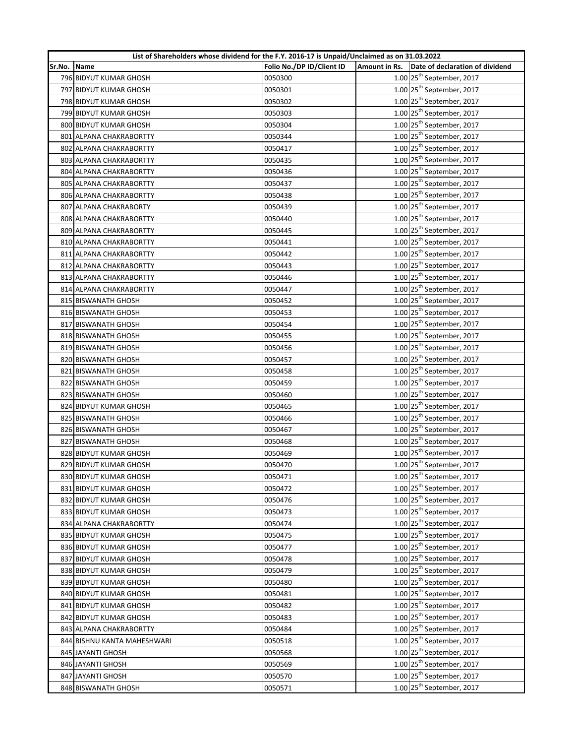| List of Shareholders whose dividend for the F.Y. 2016-17 is Unpaid/Unclaimed as on 31.03.2022 |                             |                           |               |                                         |  |
|-----------------------------------------------------------------------------------------------|-----------------------------|---------------------------|---------------|-----------------------------------------|--|
| Sr.No.                                                                                        | Name                        | Folio No./DP ID/Client ID | Amount in Rs. | Date of declaration of dividend         |  |
|                                                                                               | 796 BIDYUT KUMAR GHOSH      | 0050300                   |               | $1.00$ 25 <sup>th</sup> September, 2017 |  |
|                                                                                               | 797 BIDYUT KUMAR GHOSH      | 0050301                   |               | $1.00$ 25 <sup>th</sup> September, 2017 |  |
|                                                                                               | 798 BIDYUT KUMAR GHOSH      | 0050302                   |               | $1.00$ 25 <sup>th</sup> September, 2017 |  |
|                                                                                               | 799 BIDYUT KUMAR GHOSH      | 0050303                   |               | $1.00$ 25 <sup>th</sup> September, 2017 |  |
|                                                                                               | 800 BIDYUT KUMAR GHOSH      | 0050304                   |               | $1.00$ 25 <sup>th</sup> September, 2017 |  |
|                                                                                               | 801 ALPANA CHAKRABORTTY     | 0050344                   |               | 1.00 25 <sup>th</sup> September, 2017   |  |
|                                                                                               | 802 ALPANA CHAKRABORTTY     | 0050417                   |               | $1.00$ 25 <sup>th</sup> September, 2017 |  |
|                                                                                               | 803 ALPANA CHAKRABORTTY     | 0050435                   |               | $1.00$ 25 <sup>th</sup> September, 2017 |  |
|                                                                                               | 804 ALPANA CHAKRABORTTY     | 0050436                   |               | $1.00$ 25 <sup>th</sup> September, 2017 |  |
|                                                                                               | 805 ALPANA CHAKRABORTTY     | 0050437                   |               | $1.00$ 25 <sup>th</sup> September, 2017 |  |
|                                                                                               | 806 ALPANA CHAKRABORTTY     | 0050438                   |               | $1.00$ 25 <sup>th</sup> September, 2017 |  |
|                                                                                               | 807 ALPANA CHAKRABORTY      | 0050439                   |               | $1.00$ 25 <sup>th</sup> September, 2017 |  |
|                                                                                               | 808 ALPANA CHAKRABORTTY     | 0050440                   |               | $1.00$ 25 <sup>th</sup> September, 2017 |  |
|                                                                                               | 809 ALPANA CHAKRABORTTY     | 0050445                   |               | $1.00$ 25 <sup>th</sup> September, 2017 |  |
|                                                                                               | 810 ALPANA CHAKRABORTTY     | 0050441                   |               | $1.00$ 25 <sup>th</sup> September, 2017 |  |
|                                                                                               | 811 ALPANA CHAKRABORTTY     | 0050442                   |               | $1.00$ 25 <sup>th</sup> September, 2017 |  |
|                                                                                               | 812 ALPANA CHAKRABORTTY     | 0050443                   |               | $1.00$ 25 <sup>th</sup> September, 2017 |  |
|                                                                                               | 813 ALPANA CHAKRABORTTY     | 0050446                   |               | $1.00$ 25 <sup>th</sup> September, 2017 |  |
|                                                                                               | 814 ALPANA CHAKRABORTTY     | 0050447                   |               | $1.00$ 25 <sup>th</sup> September, 2017 |  |
|                                                                                               | 815 BISWANATH GHOSH         | 0050452                   |               | $1.00$ 25 <sup>th</sup> September, 2017 |  |
|                                                                                               | 816 BISWANATH GHOSH         | 0050453                   |               | $1.00$ 25 <sup>th</sup> September, 2017 |  |
|                                                                                               | 817 BISWANATH GHOSH         | 0050454                   |               | $1.00$ 25 <sup>th</sup> September, 2017 |  |
|                                                                                               | 818 BISWANATH GHOSH         | 0050455                   |               | $1.00$ $25^{\text{th}}$ September, 2017 |  |
|                                                                                               | 819 BISWANATH GHOSH         | 0050456                   |               | $1.00$ 25 <sup>th</sup> September, 2017 |  |
|                                                                                               | 820 BISWANATH GHOSH         | 0050457                   |               | $1.00$ 25 <sup>th</sup> September, 2017 |  |
|                                                                                               | 821 BISWANATH GHOSH         | 0050458                   |               | $1.00$ 25 <sup>th</sup> September, 2017 |  |
|                                                                                               | 822 BISWANATH GHOSH         | 0050459                   |               | 1.00 25 <sup>th</sup> September, 2017   |  |
|                                                                                               | 823 BISWANATH GHOSH         | 0050460                   |               | 1.00 25 <sup>th</sup> September, 2017   |  |
|                                                                                               | 824 BIDYUT KUMAR GHOSH      | 0050465                   |               | $1.00$ 25 <sup>th</sup> September, 2017 |  |
|                                                                                               | 825 BISWANATH GHOSH         | 0050466                   |               | $1.00$ 25 <sup>th</sup> September, 2017 |  |
|                                                                                               | 826 BISWANATH GHOSH         | 0050467                   |               | $1.00$ 25 <sup>th</sup> September, 2017 |  |
|                                                                                               | 827 BISWANATH GHOSH         | 0050468                   |               | $1.00$ 25 <sup>th</sup> September, 2017 |  |
|                                                                                               | 828 BIDYUT KUMAR GHOSH      | 0050469                   |               | $1.00$ 25 <sup>th</sup> September, 2017 |  |
|                                                                                               | 829 BIDYUT KUMAR GHOSH      | 0050470                   |               | $1.00$ 25 <sup>th</sup> September, 2017 |  |
|                                                                                               | 830 BIDYUT KUMAR GHOSH      | 0050471                   |               | 1.00 25 <sup>th</sup> September, 2017   |  |
|                                                                                               | 831 BIDYUT KUMAR GHOSH      | 0050472                   |               | $1.00$ 25 <sup>th</sup> September, 2017 |  |
|                                                                                               | 832 BIDYUT KUMAR GHOSH      | 0050476                   |               | $1.00$ 25 <sup>th</sup> September, 2017 |  |
|                                                                                               | 833 BIDYUT KUMAR GHOSH      | 0050473                   |               | $1.00$ 25 <sup>th</sup> September, 2017 |  |
|                                                                                               | 834 ALPANA CHAKRABORTTY     | 0050474                   |               | $1.00$ 25 <sup>th</sup> September, 2017 |  |
|                                                                                               | 835 BIDYUT KUMAR GHOSH      | 0050475                   |               | $1.00$ 25 <sup>th</sup> September, 2017 |  |
|                                                                                               | 836 BIDYUT KUMAR GHOSH      | 0050477                   |               | $1.00$ 25 <sup>th</sup> September, 2017 |  |
|                                                                                               | 837 BIDYUT KUMAR GHOSH      | 0050478                   |               | $1.00$ 25 <sup>th</sup> September, 2017 |  |
|                                                                                               | 838 BIDYUT KUMAR GHOSH      | 0050479                   |               | $1.00$ 25 <sup>th</sup> September, 2017 |  |
|                                                                                               | 839 BIDYUT KUMAR GHOSH      | 0050480                   |               | $1.00$ 25 <sup>th</sup> September, 2017 |  |
|                                                                                               | 840 BIDYUT KUMAR GHOSH      | 0050481                   |               | $1.00$ 25 <sup>th</sup> September, 2017 |  |
|                                                                                               | 841 BIDYUT KUMAR GHOSH      | 0050482                   |               | 1.00 25 <sup>th</sup> September, 2017   |  |
|                                                                                               | 842 BIDYUT KUMAR GHOSH      | 0050483                   |               | $1.00$ 25 <sup>th</sup> September, 2017 |  |
|                                                                                               | 843 ALPANA CHAKRABORTTY     | 0050484                   |               | $1.00$ 25 <sup>th</sup> September, 2017 |  |
|                                                                                               | 844 BISHNU KANTA MAHESHWARI | 0050518                   |               | $1.00$ 25 <sup>th</sup> September, 2017 |  |
|                                                                                               | 845 JAYANTI GHOSH           | 0050568                   |               | $1.00$ 25 <sup>th</sup> September, 2017 |  |
|                                                                                               | 846 JAYANTI GHOSH           | 0050569                   |               | $1.00$ 25 <sup>th</sup> September, 2017 |  |
|                                                                                               | 847 JAYANTI GHOSH           | 0050570                   |               | $1.00$ 25 <sup>th</sup> September, 2017 |  |
|                                                                                               | 848 BISWANATH GHOSH         | 0050571                   |               | $1.00$ 25 <sup>th</sup> September, 2017 |  |
|                                                                                               |                             |                           |               |                                         |  |